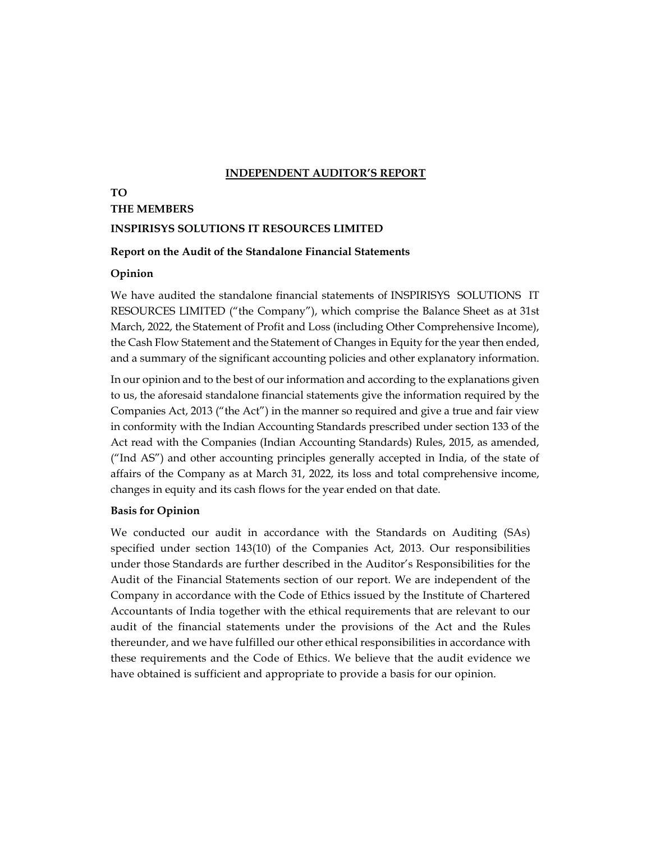# **INDEPENDENT AUDITOR'S REPORT**

# **TO THE MEMBERS INSPIRISYS SOLUTIONS IT RESOURCES LIMITED**

# **Report on the Audit of the Standalone Financial Statements**

# **Opinion**

We have audited the standalone financial statements of INSPIRISYS SOLUTIONS IT RESOURCES LIMITED ("the Company"), which comprise the Balance Sheet as at 31st March, 2022, the Statement of Profit and Loss (including Other Comprehensive Income), the Cash Flow Statement and the Statement of Changes in Equity for the year then ended, and a summary of the significant accounting policies and other explanatory information.

In our opinion and to the best of our information and according to the explanations given to us, the aforesaid standalone financial statements give the information required by the Companies Act, 2013 ("the Act") in the manner so required and give a true and fair view in conformity with the Indian Accounting Standards prescribed under section 133 of the Act read with the Companies (Indian Accounting Standards) Rules, 2015, as amended, ("Ind AS") and other accounting principles generally accepted in India, of the state of affairs of the Company as at March 31, 2022, its loss and total comprehensive income, changes in equity and its cash flows for the year ended on that date.

# **Basis for Opinion**

We conducted our audit in accordance with the Standards on Auditing (SAs) specified under section 143(10) of the Companies Act, 2013. Our responsibilities under those Standards are further described in the Auditor's Responsibilities for the Audit of the Financial Statements section of our report. We are independent of the Company in accordance with the Code of Ethics issued by the Institute of Chartered Accountants of India together with the ethical requirements that are relevant to our audit of the financial statements under the provisions of the Act and the Rules thereunder, and we have fulfilled our other ethical responsibilities in accordance with these requirements and the Code of Ethics. We believe that the audit evidence we have obtained is sufficient and appropriate to provide a basis for our opinion.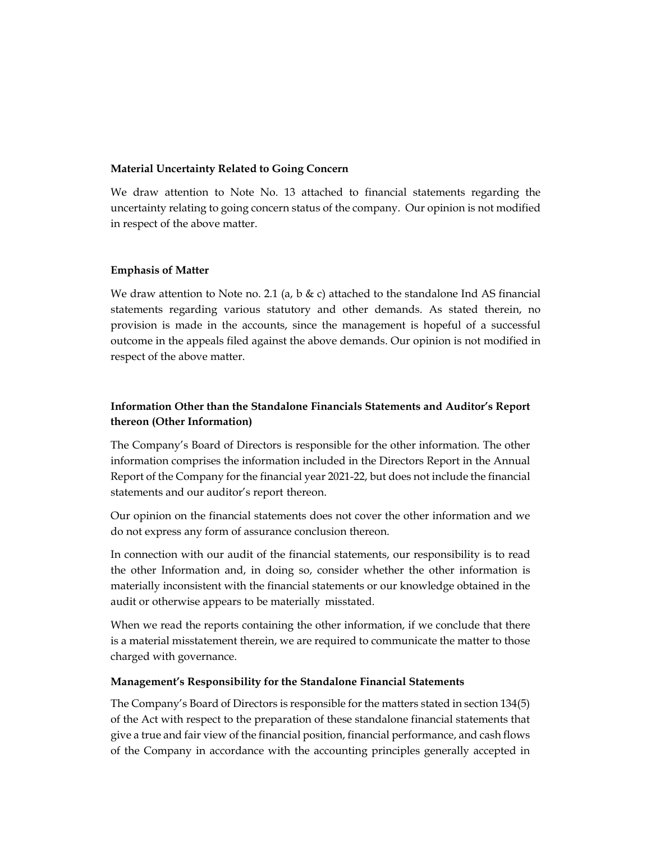# **Material Uncertainty Related to Going Concern**

We draw attention to Note No. 13 attached to financial statements regarding the uncertainty relating to going concern status of the company. Our opinion is not modified in respect of the above matter.

# **Emphasis of Matter**

We draw attention to Note no. 2.1 (a, b  $\& c$ ) attached to the standalone Ind AS financial statements regarding various statutory and other demands. As stated therein, no provision is made in the accounts, since the management is hopeful of a successful outcome in the appeals filed against the above demands. Our opinion is not modified in respect of the above matter.

# **Information Other than the Standalone Financials Statements and Auditor's Report thereon (Other Information)**

The Company's Board of Directors is responsible for the other information. The other information comprises the information included in the Directors Report in the Annual Report of the Company for the financial year 2021-22, but does not include the financial statements and our auditor's report thereon.

Our opinion on the financial statements does not cover the other information and we do not express any form of assurance conclusion thereon.

In connection with our audit of the financial statements, our responsibility is to read the other Information and, in doing so, consider whether the other information is materially inconsistent with the financial statements or our knowledge obtained in the audit or otherwise appears to be materially misstated.

When we read the reports containing the other information, if we conclude that there is a material misstatement therein, we are required to communicate the matter to those charged with governance.

# **Management's Responsibility for the Standalone Financial Statements**

The Company's Board of Directors is responsible for the matters stated in section 134(5) of the Act with respect to the preparation of these standalone financial statements that give a true and fair view of the financial position, financial performance, and cash flows of the Company in accordance with the accounting principles generally accepted in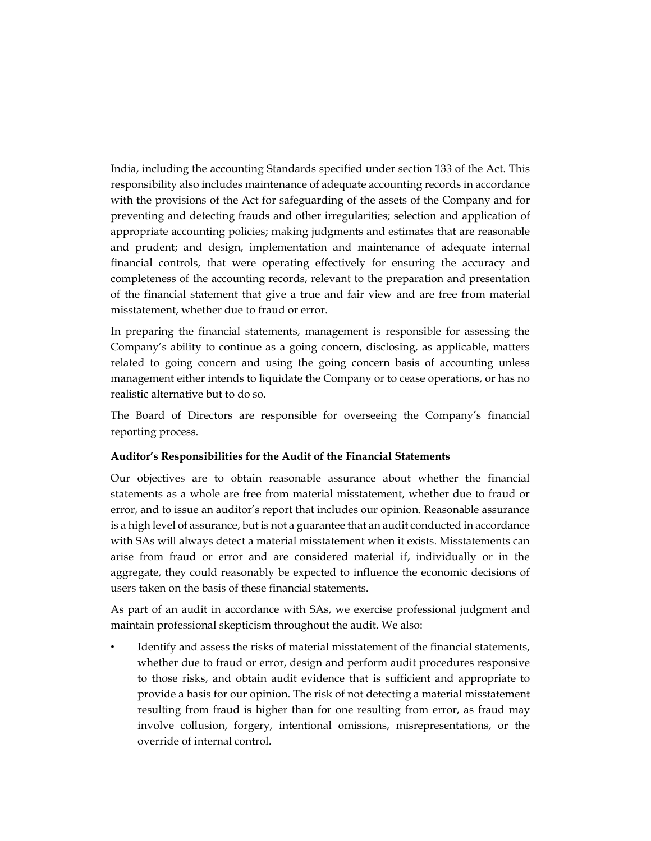India, including the accounting Standards specified under section 133 of the Act. This responsibility also includes maintenance of adequate accounting records in accordance with the provisions of the Act for safeguarding of the assets of the Company and for preventing and detecting frauds and other irregularities; selection and application of appropriate accounting policies; making judgments and estimates that are reasonable and prudent; and design, implementation and maintenance of adequate internal financial controls, that were operating effectively for ensuring the accuracy and completeness of the accounting records, relevant to the preparation and presentation of the financial statement that give a true and fair view and are free from material misstatement, whether due to fraud or error.

In preparing the financial statements, management is responsible for assessing the Company's ability to continue as a going concern, disclosing, as applicable, matters related to going concern and using the going concern basis of accounting unless management either intends to liquidate the Company or to cease operations, or has no realistic alternative but to do so.

The Board of Directors are responsible for overseeing the Company's financial reporting process.

# **Auditor's Responsibilities for the Audit of the Financial Statements**

Our objectives are to obtain reasonable assurance about whether the financial statements as a whole are free from material misstatement, whether due to fraud or error, and to issue an auditor's report that includes our opinion. Reasonable assurance is a high level of assurance, but is not a guarantee that an audit conducted in accordance with SAs will always detect a material misstatement when it exists. Misstatements can arise from fraud or error and are considered material if, individually or in the aggregate, they could reasonably be expected to influence the economic decisions of users taken on the basis of these financial statements.

As part of an audit in accordance with SAs, we exercise professional judgment and maintain professional skepticism throughout the audit. We also:

• Identify and assess the risks of material misstatement of the financial statements, whether due to fraud or error, design and perform audit procedures responsive to those risks, and obtain audit evidence that is sufficient and appropriate to provide a basis for our opinion. The risk of not detecting a material misstatement resulting from fraud is higher than for one resulting from error, as fraud may involve collusion, forgery, intentional omissions, misrepresentations, or the override of internal control.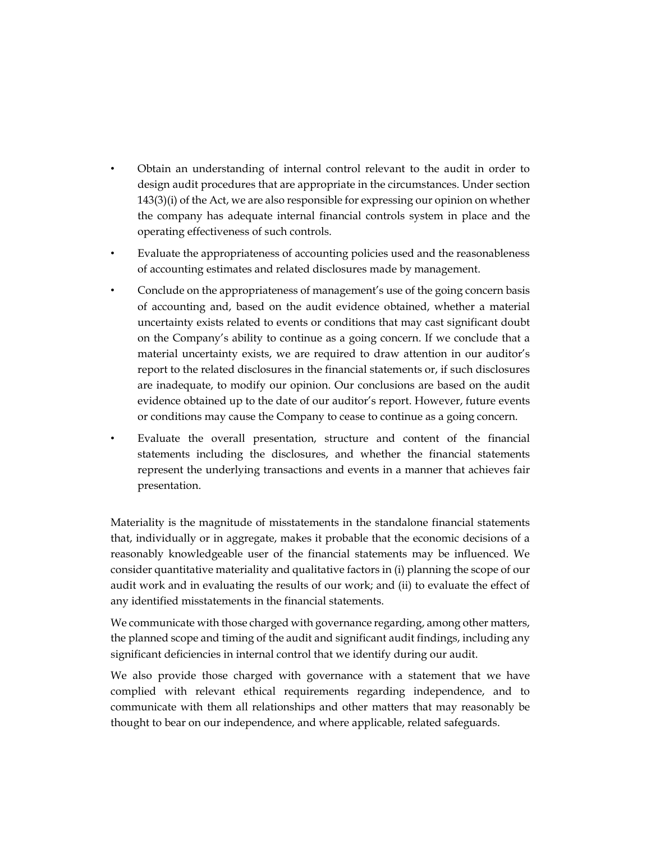- Obtain an understanding of internal control relevant to the audit in order to design audit procedures that are appropriate in the circumstances. Under section 143(3)(i) of the Act, we are also responsible for expressing our opinion on whether the company has adequate internal financial controls system in place and the operating effectiveness of such controls.
- Evaluate the appropriateness of accounting policies used and the reasonableness of accounting estimates and related disclosures made by management.
- Conclude on the appropriateness of management's use of the going concern basis of accounting and, based on the audit evidence obtained, whether a material uncertainty exists related to events or conditions that may cast significant doubt on the Company's ability to continue as a going concern. If we conclude that a material uncertainty exists, we are required to draw attention in our auditor's report to the related disclosures in the financial statements or, if such disclosures are inadequate, to modify our opinion. Our conclusions are based on the audit evidence obtained up to the date of our auditor's report. However, future events or conditions may cause the Company to cease to continue as a going concern.
- Evaluate the overall presentation, structure and content of the financial statements including the disclosures, and whether the financial statements represent the underlying transactions and events in a manner that achieves fair presentation.

Materiality is the magnitude of misstatements in the standalone financial statements that, individually or in aggregate, makes it probable that the economic decisions of a reasonably knowledgeable user of the financial statements may be influenced. We consider quantitative materiality and qualitative factors in (i) planning the scope of our audit work and in evaluating the results of our work; and (ii) to evaluate the effect of any identified misstatements in the financial statements.

We communicate with those charged with governance regarding, among other matters, the planned scope and timing of the audit and significant audit findings, including any significant deficiencies in internal control that we identify during our audit.

We also provide those charged with governance with a statement that we have complied with relevant ethical requirements regarding independence, and to communicate with them all relationships and other matters that may reasonably be thought to bear on our independence, and where applicable, related safeguards.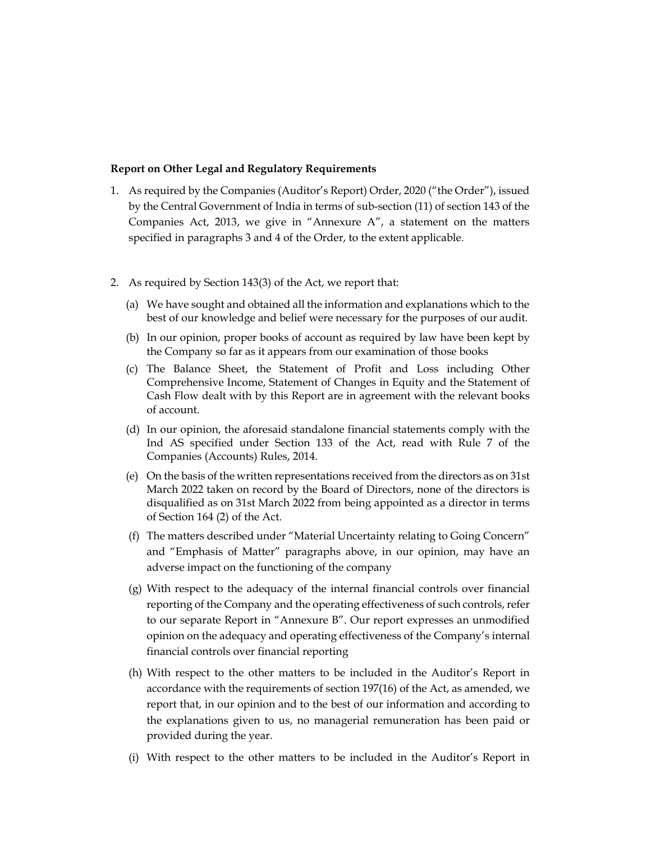# **Report on Other Legal and Regulatory Requirements**

- 1. As required by the Companies (Auditor's Report) Order, 2020 ("the Order"), issued by the Central Government of India in terms of sub-section (11) of section 143 of the Companies Act, 2013, we give in "Annexure A", a statement on the matters specified in paragraphs 3 and 4 of the Order, to the extent applicable.
- 2. As required by Section 143(3) of the Act, we report that:
	- (a) We have sought and obtained all the information and explanations which to the best of our knowledge and belief were necessary for the purposes of our audit.
	- (b) In our opinion, proper books of account as required by law have been kept by the Company so far as it appears from our examination of those books
	- (c) The Balance Sheet, the Statement of Profit and Loss including Other Comprehensive Income, Statement of Changes in Equity and the Statement of Cash Flow dealt with by this Report are in agreement with the relevant books of account.
	- (d) In our opinion, the aforesaid standalone financial statements comply with the Ind AS specified under Section 133 of the Act, read with Rule 7 of the Companies (Accounts) Rules, 2014.
	- (e) On the basis of the written representations received from the directors as on 31st March 2022 taken on record by the Board of Directors, none of the directors is disqualified as on 31st March 2022 from being appointed as a director in terms of Section 164 (2) of the Act.
	- (f) The matters described under "Material Uncertainty relating to Going Concern" and "Emphasis of Matter" paragraphs above, in our opinion, may have an adverse impact on the functioning of the company
	- (g) With respect to the adequacy of the internal financial controls over financial reporting of the Company and the operating effectiveness of such controls, refer to our separate Report in "Annexure B". Our report expresses an unmodified opinion on the adequacy and operating effectiveness of the Company's internal financial controls over financial reporting
	- (h) With respect to the other matters to be included in the Auditor's Report in accordance with the requirements of section 197(16) of the Act, as amended, we report that, in our opinion and to the best of our information and according to the explanations given to us, no managerial remuneration has been paid or provided during the year.
	- (i) With respect to the other matters to be included in the Auditor's Report in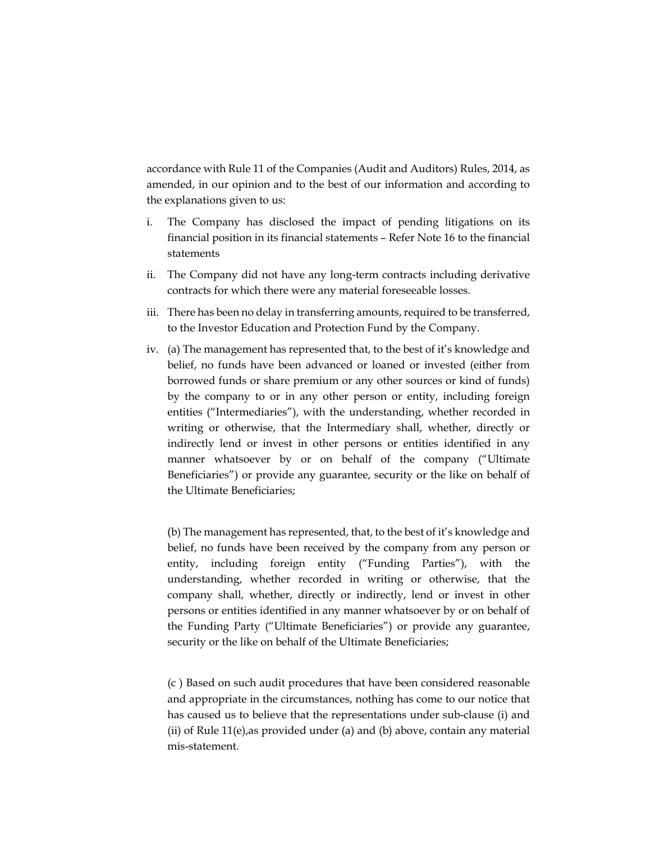accordance with Rule 11 of the Companies (Audit and Auditors) Rules, 2014, as amended, in our opinion and to the best of our information and according to the explanations given to us:

- i. The Company has disclosed the impact of pending litigations on its financial position in its financial statements – Refer Note 16 to the financial statements
- ii. The Company did not have any long-term contracts including derivative contracts for which there were any material foreseeable losses.
- iii. There has been no delay in transferring amounts, required to be transferred, to the Investor Education and Protection Fund by the Company.
- iv. (a) The management has represented that, to the best of it's knowledge and belief, no funds have been advanced or loaned or invested (either from borrowed funds or share premium or any other sources or kind of funds) by the company to or in any other person or entity, including foreign entities ("Intermediaries"), with the understanding, whether recorded in writing or otherwise, that the Intermediary shall, whether, directly or indirectly lend or invest in other persons or entities identified in any manner whatsoever by or on behalf of the company ("Ultimate Beneficiaries") or provide any guarantee, security or the like on behalf of the Ultimate Beneficiaries;

(b) The management has represented, that, to the best of it's knowledge and belief, no funds have been received by the company from any person or entity, including foreign entity ("Funding Parties"), with the understanding, whether recorded in writing or otherwise, that the company shall, whether, directly or indirectly, lend or invest in other persons or entities identified in any manner whatsoever by or on behalf of the Funding Party ("Ultimate Beneficiaries") or provide any guarantee, security or the like on behalf of the Ultimate Beneficiaries;

(c ) Based on such audit procedures that have been considered reasonable and appropriate in the circumstances, nothing has come to our notice that has caused us to believe that the representations under sub-clause (i) and (ii) of Rule 11(e),as provided under (a) and (b) above, contain any material mis-statement.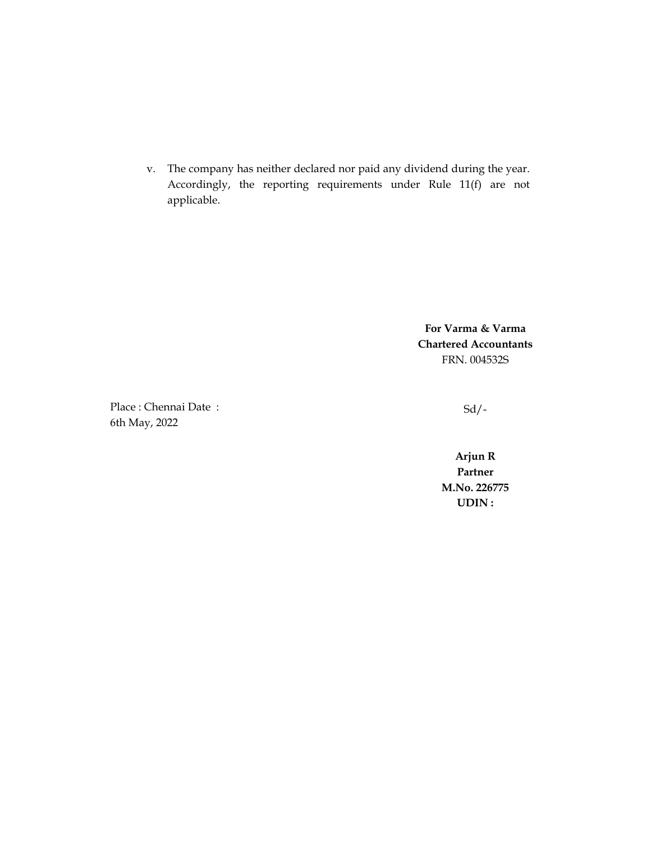v. The company has neither declared nor paid any dividend during the year. Accordingly, the reporting requirements under Rule 11(f) are not applicable.

> **For Varma & Varma Chartered Accountants** FRN. 004532S

Place : Chennai Date : 6th May, 2022

Sd/-

**Arjun R Partner M.No. 226775 UDIN :**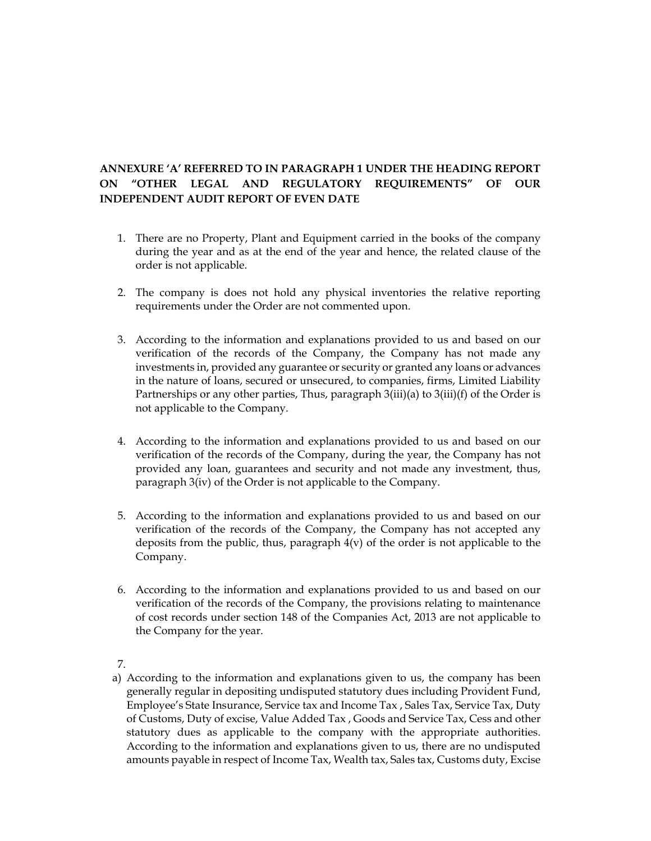# **ANNEXURE 'A' REFERRED TO IN PARAGRAPH 1 UNDER THE HEADING REPORT ON "OTHER LEGAL AND REGULATORY REQUIREMENTS" OF OUR INDEPENDENT AUDIT REPORT OF EVEN DATE**

- 1. There are no Property, Plant and Equipment carried in the books of the company during the year and as at the end of the year and hence, the related clause of the order is not applicable.
- 2. The company is does not hold any physical inventories the relative reporting requirements under the Order are not commented upon.
- 3. According to the information and explanations provided to us and based on our verification of the records of the Company, the Company has not made any investments in, provided any guarantee or security or granted any loans or advances in the nature of loans, secured or unsecured, to companies, firms, Limited Liability Partnerships or any other parties, Thus, paragraph 3(iii)(a) to 3(iii)(f) of the Order is not applicable to the Company.
- 4. According to the information and explanations provided to us and based on our verification of the records of the Company, during the year, the Company has not provided any loan, guarantees and security and not made any investment, thus, paragraph 3(iv) of the Order is not applicable to the Company.
- 5. According to the information and explanations provided to us and based on our verification of the records of the Company, the Company has not accepted any deposits from the public, thus, paragraph 4(v) of the order is not applicable to the Company.
- 6. According to the information and explanations provided to us and based on our verification of the records of the Company, the provisions relating to maintenance of cost records under section 148 of the Companies Act, 2013 are not applicable to the Company for the year.
- 7.
- a) According to the information and explanations given to us, the company has been generally regular in depositing undisputed statutory dues including Provident Fund, Employee's State Insurance, Service tax and Income Tax , Sales Tax, Service Tax, Duty of Customs, Duty of excise, Value Added Tax , Goods and Service Tax, Cess and other statutory dues as applicable to the company with the appropriate authorities. According to the information and explanations given to us, there are no undisputed amounts payable in respect of Income Tax, Wealth tax, Sales tax, Customs duty, Excise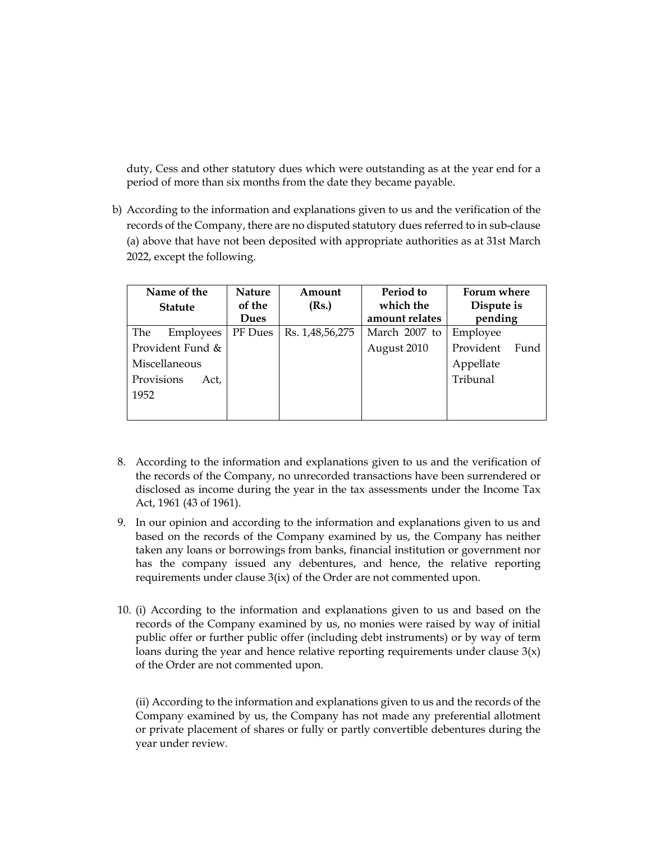duty, Cess and other statutory dues which were outstanding as at the year end for a period of more than six months from the date they became payable.

b) According to the information and explanations given to us and the verification of the records of the Company, there are no disputed statutory dues referred to in sub-clause (a) above that have not been deposited with appropriate authorities as at 31st March 2022, except the following.

| Name of the<br><b>Statute</b> |                  | <b>Nature</b><br>of the | Amount<br>(Rs.) | Period to<br>which the | Forum where<br>Dispute is |
|-------------------------------|------------------|-------------------------|-----------------|------------------------|---------------------------|
|                               |                  | Dues                    |                 | amount relates         | pending                   |
| The                           | <b>Employees</b> | PF Dues                 | Rs. 1,48,56,275 | March 2007 to          | Employee                  |
| Provident Fund &              |                  |                         |                 | August 2010            | Provident<br>Fund         |
| Miscellaneous                 |                  |                         |                 |                        | Appellate                 |
| Provisions<br>Act,            |                  |                         |                 |                        | Tribunal                  |
| 1952                          |                  |                         |                 |                        |                           |
|                               |                  |                         |                 |                        |                           |

- 8. According to the information and explanations given to us and the verification of the records of the Company, no unrecorded transactions have been surrendered or disclosed as income during the year in the tax assessments under the Income Tax Act, 1961 (43 of 1961).
- 9. In our opinion and according to the information and explanations given to us and based on the records of the Company examined by us, the Company has neither taken any loans or borrowings from banks, financial institution or government nor has the company issued any debentures, and hence, the relative reporting requirements under clause 3(ix) of the Order are not commented upon.
- 10. (i) According to the information and explanations given to us and based on the records of the Company examined by us, no monies were raised by way of initial public offer or further public offer (including debt instruments) or by way of term loans during the year and hence relative reporting requirements under clause  $3(x)$ of the Order are not commented upon.

(ii) According to the information and explanations given to us and the records of the Company examined by us, the Company has not made any preferential allotment or private placement of shares or fully or partly convertible debentures during the year under review.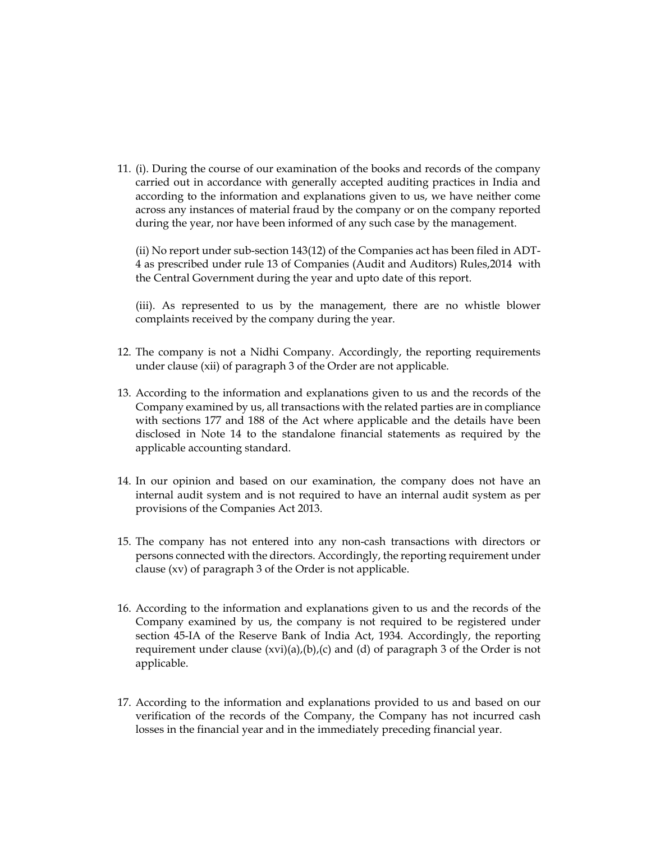11. (i). During the course of our examination of the books and records of the company carried out in accordance with generally accepted auditing practices in India and according to the information and explanations given to us, we have neither come across any instances of material fraud by the company or on the company reported during the year, nor have been informed of any such case by the management.

(ii) No report under sub-section 143(12) of the Companies act has been filed in ADT-4 as prescribed under rule 13 of Companies (Audit and Auditors) Rules,2014 with the Central Government during the year and upto date of this report.

(iii). As represented to us by the management, there are no whistle blower complaints received by the company during the year.

- 12. The company is not a Nidhi Company. Accordingly, the reporting requirements under clause (xii) of paragraph 3 of the Order are not applicable.
- 13. According to the information and explanations given to us and the records of the Company examined by us, all transactions with the related parties are in compliance with sections 177 and 188 of the Act where applicable and the details have been disclosed in Note 14 to the standalone financial statements as required by the applicable accounting standard.
- 14. In our opinion and based on our examination, the company does not have an internal audit system and is not required to have an internal audit system as per provisions of the Companies Act 2013.
- 15. The company has not entered into any non-cash transactions with directors or persons connected with the directors. Accordingly, the reporting requirement under clause (xv) of paragraph 3 of the Order is not applicable.
- 16. According to the information and explanations given to us and the records of the Company examined by us, the company is not required to be registered under section 45-IA of the Reserve Bank of India Act, 1934. Accordingly, the reporting requirement under clause  $(xvi)(a)$ , $(b)$ , $(c)$  and  $(d)$  of paragraph 3 of the Order is not applicable.
- 17. According to the information and explanations provided to us and based on our verification of the records of the Company, the Company has not incurred cash losses in the financial year and in the immediately preceding financial year.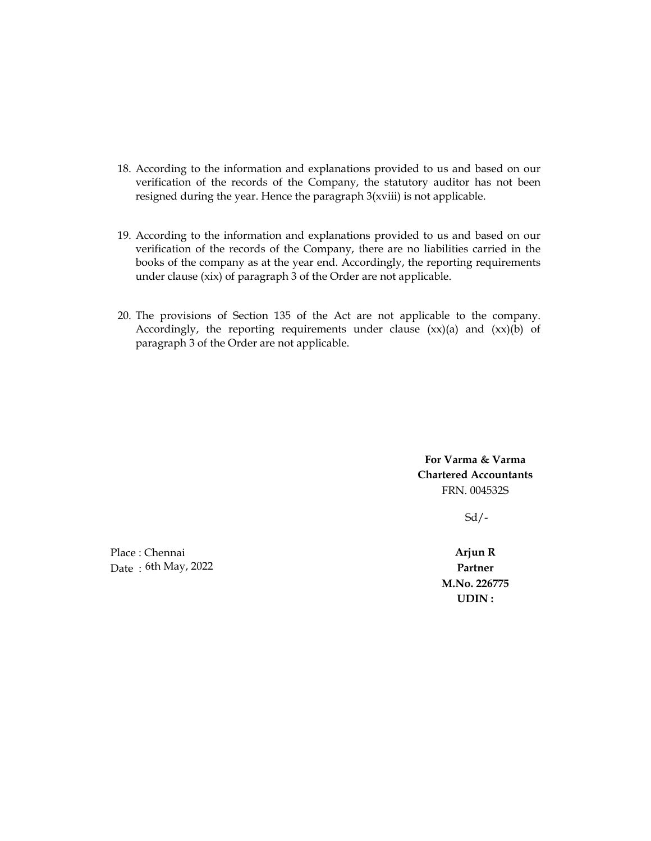- 18. According to the information and explanations provided to us and based on our verification of the records of the Company, the statutory auditor has not been resigned during the year. Hence the paragraph 3(xviii) is not applicable.
- 19. According to the information and explanations provided to us and based on our verification of the records of the Company, there are no liabilities carried in the books of the company as at the year end. Accordingly, the reporting requirements under clause (xix) of paragraph 3 of the Order are not applicable.
- 20. The provisions of Section 135 of the Act are not applicable to the company. Accordingly, the reporting requirements under clause  $(xx)(a)$  and  $(xx)(b)$  of paragraph 3 of the Order are not applicable.

**For Varma & Varma Chartered Accountants** FRN. 004532S

 $Sd$  /-

Place : Chennai **Arjun R Arjun R** Date : 6th May, 2022 **Partner** 

**M.No. 226775 UDIN :**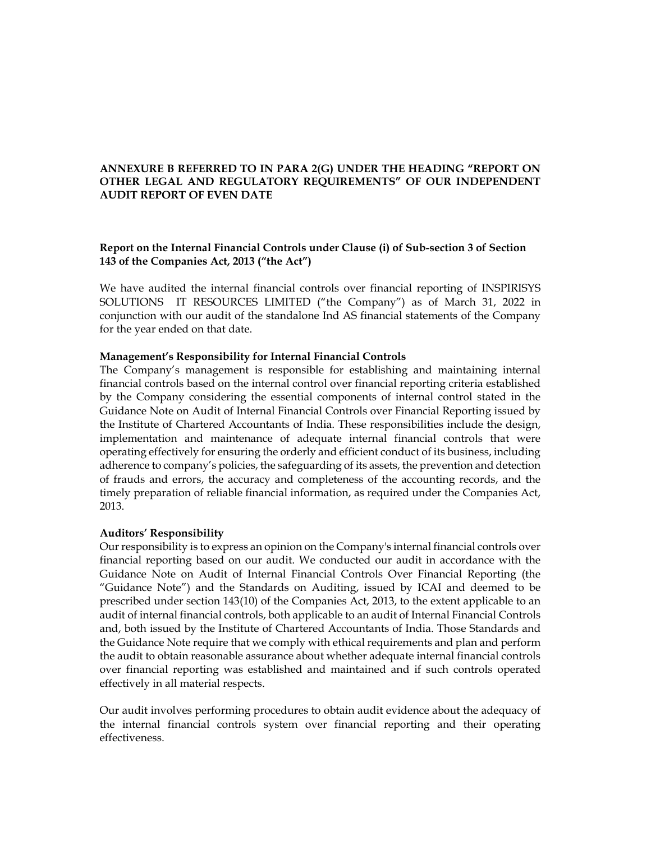# **ANNEXURE B REFERRED TO IN PARA 2(G) UNDER THE HEADING "REPORT ON OTHER LEGAL AND REGULATORY REQUIREMENTS" OF OUR INDEPENDENT AUDIT REPORT OF EVEN DATE**

# **Report on the Internal Financial Controls under Clause (i) of Sub-section 3 of Section 143 of the Companies Act, 2013 ("the Act")**

We have audited the internal financial controls over financial reporting of INSPIRISYS SOLUTIONS IT RESOURCES LIMITED ("the Company") as of March 31, 2022 in conjunction with our audit of the standalone Ind AS financial statements of the Company for the year ended on that date.

# **Management's Responsibility for Internal Financial Controls**

The Company's management is responsible for establishing and maintaining internal financial controls based on the internal control over financial reporting criteria established by the Company considering the essential components of internal control stated in the Guidance Note on Audit of Internal Financial Controls over Financial Reporting issued by the Institute of Chartered Accountants of India. These responsibilities include the design, implementation and maintenance of adequate internal financial controls that were operating effectively for ensuring the orderly and efficient conduct of its business, including adherence to company's policies, the safeguarding of its assets, the prevention and detection of frauds and errors, the accuracy and completeness of the accounting records, and the timely preparation of reliable financial information, as required under the Companies Act, 2013.

# **Auditors' Responsibility**

Our responsibility is to express an opinion on the Company's internal financial controls over financial reporting based on our audit. We conducted our audit in accordance with the Guidance Note on Audit of Internal Financial Controls Over Financial Reporting (the "Guidance Note") and the Standards on Auditing, issued by ICAI and deemed to be prescribed under section 143(10) of the Companies Act, 2013, to the extent applicable to an audit of internal financial controls, both applicable to an audit of Internal Financial Controls and, both issued by the Institute of Chartered Accountants of India. Those Standards and the Guidance Note require that we comply with ethical requirements and plan and perform the audit to obtain reasonable assurance about whether adequate internal financial controls over financial reporting was established and maintained and if such controls operated effectively in all material respects.

Our audit involves performing procedures to obtain audit evidence about the adequacy of the internal financial controls system over financial reporting and their operating effectiveness.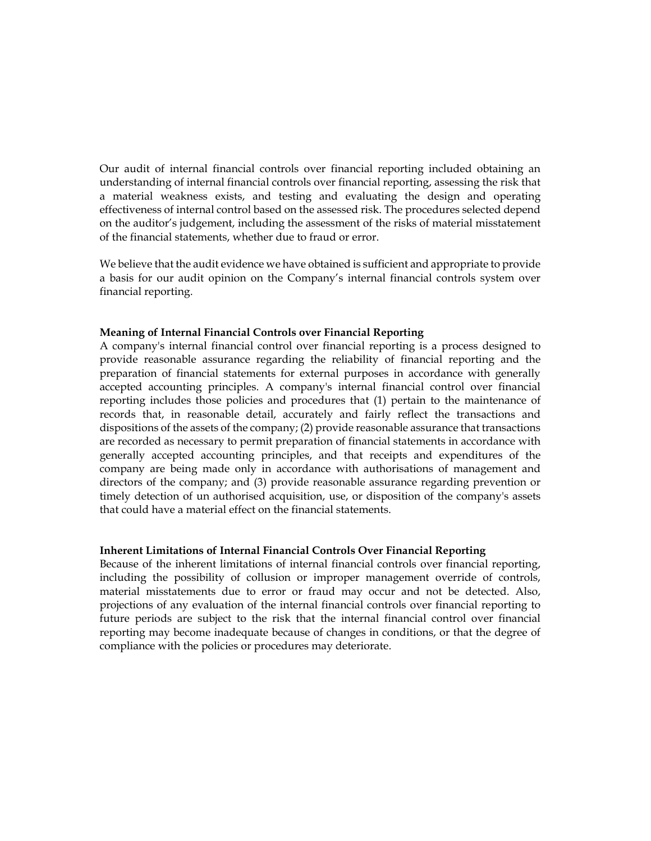Our audit of internal financial controls over financial reporting included obtaining an understanding of internal financial controls over financial reporting, assessing the risk that a material weakness exists, and testing and evaluating the design and operating effectiveness of internal control based on the assessed risk. The procedures selected depend on the auditor's judgement, including the assessment of the risks of material misstatement of the financial statements, whether due to fraud or error.

We believe that the audit evidence we have obtained is sufficient and appropriate to provide a basis for our audit opinion on the Company's internal financial controls system over financial reporting.

# **Meaning of Internal Financial Controls over Financial Reporting**

A company's internal financial control over financial reporting is a process designed to provide reasonable assurance regarding the reliability of financial reporting and the preparation of financial statements for external purposes in accordance with generally accepted accounting principles. A company's internal financial control over financial reporting includes those policies and procedures that (1) pertain to the maintenance of records that, in reasonable detail, accurately and fairly reflect the transactions and dispositions of the assets of the company; (2) provide reasonable assurance that transactions are recorded as necessary to permit preparation of financial statements in accordance with generally accepted accounting principles, and that receipts and expenditures of the company are being made only in accordance with authorisations of management and directors of the company; and (3) provide reasonable assurance regarding prevention or timely detection of un authorised acquisition, use, or disposition of the company's assets that could have a material effect on the financial statements.

# **Inherent Limitations of Internal Financial Controls Over Financial Reporting**

Because of the inherent limitations of internal financial controls over financial reporting, including the possibility of collusion or improper management override of controls, material misstatements due to error or fraud may occur and not be detected. Also, projections of any evaluation of the internal financial controls over financial reporting to future periods are subject to the risk that the internal financial control over financial reporting may become inadequate because of changes in conditions, or that the degree of compliance with the policies or procedures may deteriorate.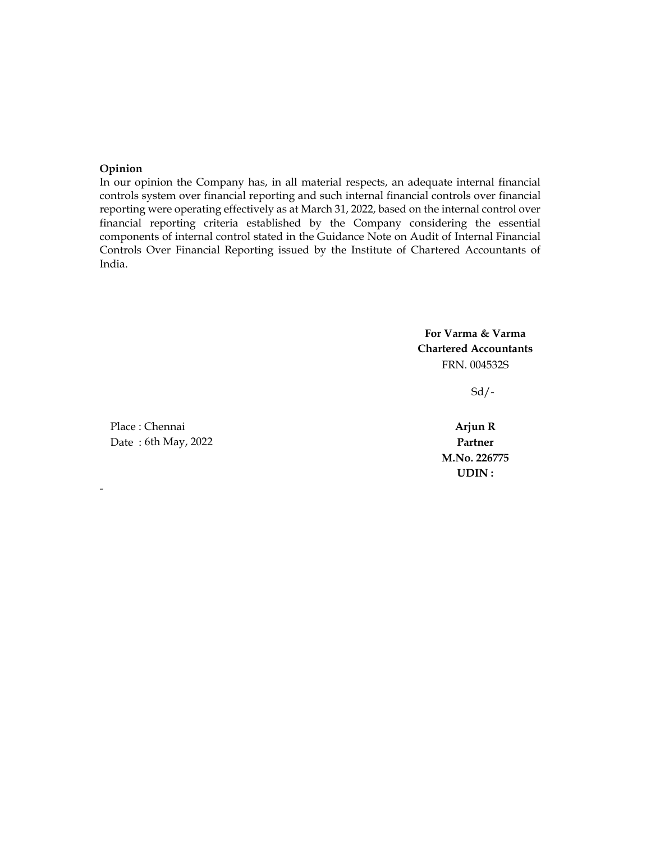# **Opinion**

In our opinion the Company has, in all material respects, an adequate internal financial controls system over financial reporting and such internal financial controls over financial reporting were operating effectively as at March 31, 2022, based on the internal control over financial reporting criteria established by the Company considering the essential components of internal control stated in the Guidance Note on Audit of Internal Financial Controls Over Financial Reporting issued by the Institute of Chartered Accountants of India.

> **For Varma & Varma Chartered Accountants** FRN. 004532S

> > $Sd$  /-

Place : Chennai **Arjun R Arjun R** Date : 6th May, 2022 **Partner** 

-

**M.No. 226775 UDIN :**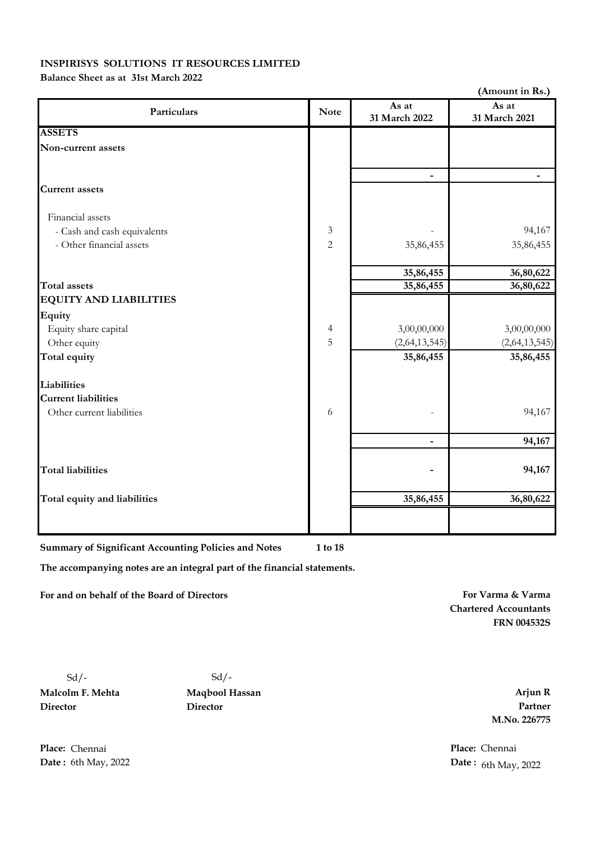**Balance Sheet as at 31st March 2022**

**(Amount in Rs.)**

| Particulars                   | <b>Note</b>                 | As at<br>31 March 2022 | As at<br>31 March 2021 |
|-------------------------------|-----------------------------|------------------------|------------------------|
| <b>ASSETS</b>                 |                             |                        |                        |
| Non-current assets            |                             |                        |                        |
|                               |                             |                        |                        |
| <b>Current assets</b>         |                             |                        |                        |
| Financial assets              |                             |                        |                        |
| - Cash and cash equivalents   | $\ensuremath{\mathfrak{Z}}$ |                        | 94,167                 |
| - Other financial assets      | $\sqrt{2}$                  | 35,86,455              | 35,86,455              |
|                               |                             | 35,86,455              | 36,80,622              |
| <b>Total assets</b>           |                             | 35,86,455              | 36,80,622              |
| <b>EQUITY AND LIABILITIES</b> |                             |                        |                        |
| <b>Equity</b>                 |                             |                        |                        |
| Equity share capital          | $\overline{\mathcal{A}}$    | 3,00,00,000            | 3,00,00,000            |
| Other equity                  | 5                           | (2,64,13,545)          | (2,64,13,545)          |
| Total equity                  |                             | 35,86,455              | 35,86,455              |
| Liabilities                   |                             |                        |                        |
| <b>Current liabilities</b>    |                             |                        |                        |
| Other current liabilities     | 6                           |                        | 94,167                 |
|                               |                             | ۰                      | 94,167                 |
|                               |                             |                        |                        |
| <b>Total liabilities</b>      |                             |                        | 94,167                 |
| Total equity and liabilities  |                             | 35,86,455              | 36,80,622              |
|                               |                             |                        |                        |
|                               |                             |                        |                        |

**Summary of Significant Accounting Policies and Notes 1 to 18**

**The accompanying notes are an integral part of the financial statements.**

**For and on behalf of the Board of Directors For Varma & Varma**

**Chartered Accountants FRN 004532S**

**Malcolm F. Mehta Arjun R Maqbool Hassan Director**  $Sd$ - $Sd$ -

**Place: Place:**  Chennai **Date :** 6th May, 2022 **Date : Date : Date : Date : Date : Date : Date : Date : Date : Date : Date : Date : Date : Date : Date : Date : Date : Date : Date : Date :** 

**Director Partner M.No. 226775**

> Place: Chennai Date: 6th May, 2022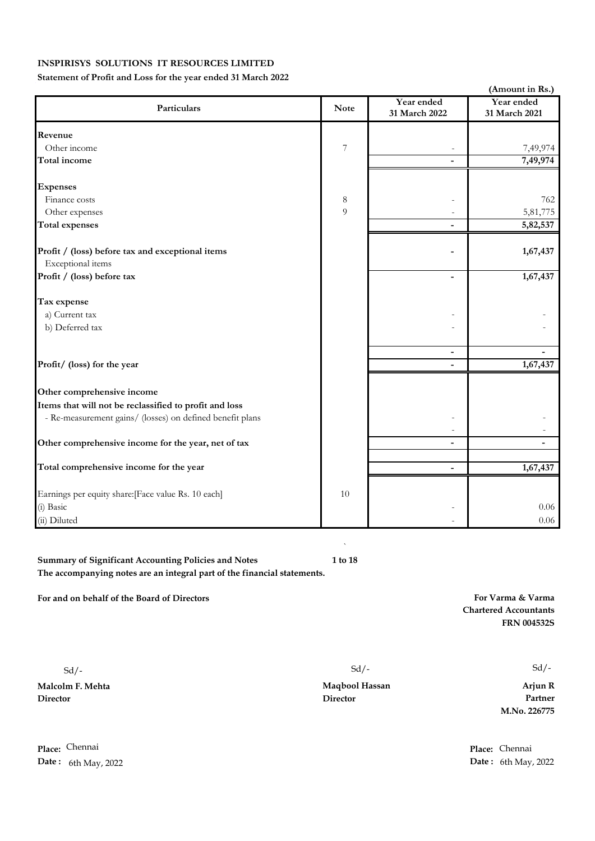$\overline{a}$ Statement of Profit and Loss for the year ended 31 March 2022

|                                                           |                |                             | (Amount in Rs.)             |
|-----------------------------------------------------------|----------------|-----------------------------|-----------------------------|
| Particulars                                               | <b>Note</b>    | Year ended<br>31 March 2022 | Year ended<br>31 March 2021 |
| Revenue                                                   |                |                             |                             |
| Other income                                              | 7              |                             | 7,49,974                    |
| Total income                                              |                | -                           | 7,49,974                    |
| <b>Expenses</b>                                           |                |                             |                             |
| Finance costs                                             | 8              |                             | 762                         |
| Other expenses                                            | $\overline{9}$ |                             | 5,81,775                    |
| <b>Total expenses</b>                                     |                | $\blacksquare$              | 5,82,537                    |
| Profit / (loss) before tax and exceptional items          |                |                             | 1,67,437                    |
| Exceptional items                                         |                |                             |                             |
| Profit / (loss) before tax                                |                | -                           | 1,67,437                    |
| Tax expense                                               |                |                             |                             |
| a) Current tax                                            |                |                             |                             |
| b) Deferred tax                                           |                |                             |                             |
|                                                           |                | $\blacksquare$              |                             |
| Profit/ (loss) for the year                               |                | $\blacksquare$              | 1,67,437                    |
| Other comprehensive income                                |                |                             |                             |
| Items that will not be reclassified to profit and loss    |                |                             |                             |
| - Re-measurement gains/ (losses) on defined benefit plans |                |                             |                             |
|                                                           |                |                             |                             |
| Other comprehensive income for the year, net of tax       |                | -                           | -                           |
|                                                           |                |                             |                             |
| Total comprehensive income for the year                   |                | $\overline{\phantom{0}}$    | 1,67,437                    |
| Earnings per equity share: [Face value Rs. 10 each]       | 10             |                             |                             |
| (i) Basic                                                 |                |                             | 0.06                        |
| (ii) Diluted                                              |                |                             | 0.06                        |

**Summary of Significant Accounting Policies and Notes 1 to 18 The accompanying notes are an integral part of the financial statements.**

**For and on behalf of the Board of Directors For Varma & Varma**

Sd/- Sd/- Sd/-

**Malcolm F. Mehta Arjun R Maqbool Hassan Director**

**Place: Place:**  Chennai **Date :** 6th May, 2022 **Date : Date : Date : Date : Date : Date : Date : Date : Date : Date : Date : Date : Date : Date : Date : Date : Date : Date : Date : Date :** 

**Director Partner**

 $\ddot{\phantom{1}}$ 

**M.No. 226775**

**FRN 004532S**

Place: Chennai Date: 6th May, 2022

**Chartered Accountants**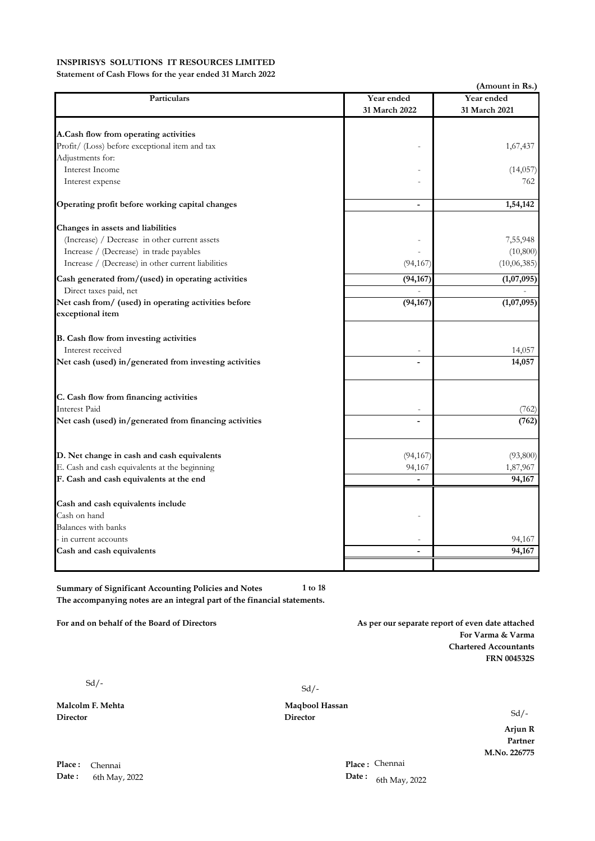**Statement of Cash Flows for the year ended 31 March 2022**

| blatement of Gash I fows for the year ended 31 march 2 |                | (Amount in Rs.) |
|--------------------------------------------------------|----------------|-----------------|
| Particulars                                            | Year ended     | Year ended      |
|                                                        | 31 March 2022  | 31 March 2021   |
| A.Cash flow from operating activities                  |                |                 |
| Profit/ (Loss) before exceptional item and tax         |                | 1,67,437        |
| Adjustments for:                                       |                |                 |
| Interest Income                                        |                | (14, 057)       |
| Interest expense                                       |                | 762             |
| Operating profit before working capital changes        | $\blacksquare$ | 1,54,142        |
| Changes in assets and liabilities                      |                |                 |
| (Increase) / Decrease in other current assets          |                | 7,55,948        |
| Increase / (Decrease) in trade payables                |                | (10, 800)       |
| Increase / (Decrease) in other current liabilities     | (94,167)       | (10,06,385)     |
| Cash generated from/(used) in operating activities     | (94, 167)      | (1,07,095)      |
| Direct taxes paid, net                                 |                |                 |
| Net cash from/ (used) in operating activities before   | (94, 167)      | (1,07,095)      |
| exceptional item                                       |                |                 |
| B. Cash flow from investing activities                 |                |                 |
| Interest received                                      |                | 14,057          |
| Net cash (used) in/generated from investing activities |                | 14,057          |
| C. Cash flow from financing activities                 |                |                 |
| <b>Interest Paid</b>                                   | $\overline{a}$ | (762)           |
| Net cash (used) in/generated from financing activities |                | (762)           |
|                                                        |                |                 |
| D. Net change in cash and cash equivalents             | (94, 167)      | (93,800)        |
| E. Cash and cash equivalents at the beginning          | 94,167         | 1,87,967        |
| F. Cash and cash equivalents at the end                |                | 94,167          |
| Cash and cash equivalents include                      |                |                 |
| Cash on hand                                           |                |                 |
| Balances with banks                                    |                |                 |
| in current accounts                                    |                | 94,167          |
| Cash and cash equivalents                              |                | 94,167          |
|                                                        |                |                 |

**Summary of Significant Accounting Policies and Notes 1 to 18 The accompanying notes are an integral part of the financial statements.**

For and on behalf of the Board of Directors **As per our separate report of even date attached For Varma & Varma Chartered Accountants FRN 004532S**

 $Sd$ - $Sd$ -

**Director Director**

**Malcolm F. Mehta Maqbool Hassan**

Sd/-

**Arjun R Partner M.No. 226775**

Place : Chennai **Place** : **Place** : **Place** : **Place** : **Place** : **Place** : **Place** : **Place** : **Place** : **Place** : **Place** : **Place** : **Place** : **Place** : **Place** : **Place** : **Place** : **Place** : **Place** : **Place** : **Place Date :** 6th May, 2022 **Date : Date :** 

Place: Chennai **Date:** 6th May, 2022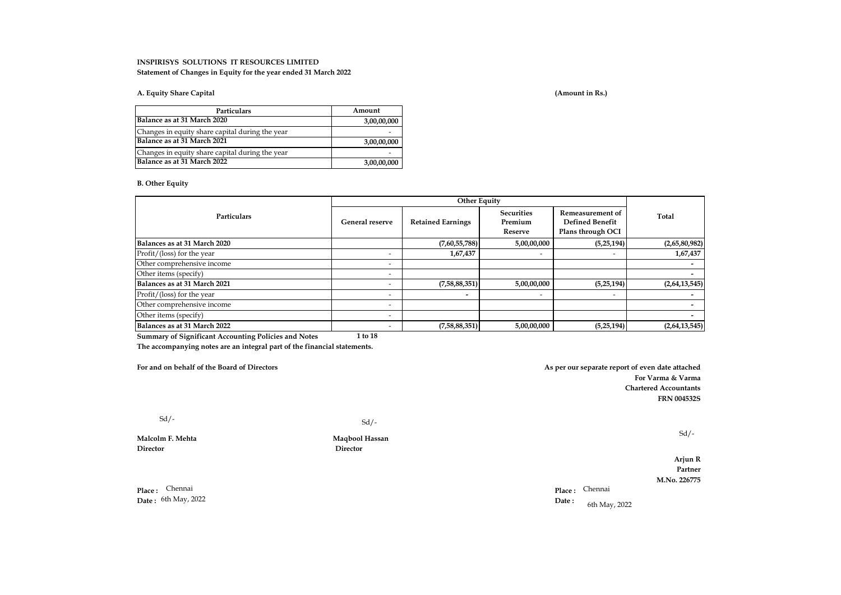#### **Statement of Changes in Equity for the year ended 31 March 2022**

#### **A. Equity Share Capital (Amount in Rs.)**

| Particulars                                     | Amount      |
|-------------------------------------------------|-------------|
| Balance as at 31 March 2020                     | 3,00,00,000 |
| Changes in equity share capital during the year |             |
| Balance as at 31 March 2021                     | 3,00,00,000 |
| Changes in equity share capital during the year |             |
| Balance as at 31 March 2022                     | 3,00,00,000 |

#### **B. Other Equity**

| <b>Particulars</b>           | General reserve          | <b>Retained Earnings</b> | <b>Securities</b><br>Premium<br>Reserve | <b>Remeasurement of</b><br><b>Defined Benefit</b><br>Plans through OCI | Total         |
|------------------------------|--------------------------|--------------------------|-----------------------------------------|------------------------------------------------------------------------|---------------|
| Balances as at 31 March 2020 |                          | (7,60,55,788)            | 5,00,00,000                             | (5,25,194)                                                             | (2,65,80,982) |
| Profit/(loss) for the year   |                          | 1,67,437                 | $\overline{\phantom{a}}$                |                                                                        | 1,67,437      |
| Other comprehensive income   | -                        |                          |                                         |                                                                        |               |
| Other items (specify)        |                          |                          |                                         |                                                                        |               |
| Balances as at 31 March 2021 |                          | (7,58,88,351)            | 5,00,00,000                             | (5,25,194)                                                             | (2,64,13,545) |
| Profit/(loss) for the year   | $\overline{\phantom{0}}$ | -                        | $\overline{\phantom{a}}$                |                                                                        |               |
| Other comprehensive income   | -                        |                          |                                         |                                                                        |               |
| Other items (specify)        | -                        |                          |                                         |                                                                        |               |
| Balances as at 31 March 2022 | -                        | (7,58,88,351)            | 5,00,00,000                             | (5,25,194)                                                             | (2,64,13,545) |

**Summary of Significant Accounting Policies and Notes** 1 to 18

**The accompanying notes are an integral part of the financial statements.**

For and on behalf of the Board of Directors **As per our separate report of even date attached For Varma & Varma Chartered Accountants**

 $Sd$ - $Sd$ -

**Malcolm F. Mehta Maqbool Hassan Director Director**

**FRN 004532S**

Sd/-

**Arjun R Partner M.No. 226775**

Place: Chennai

6th May, 2022

**Place : Place :**  Chennai **Date:** 6th May, 2022 **Date: Date: Date: Date: Date: Date: Date: Date: Date: Date: Date: Date: Date: Date: Date: Date: Date: Date: Date: Date: Date: Date: Date: Date: Date:**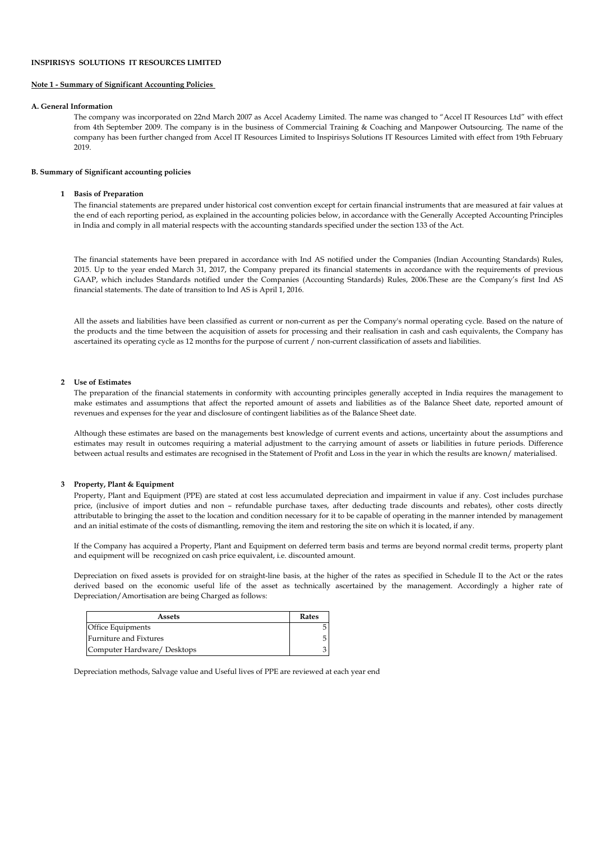#### **Note 1 - Summary of Significant Accounting Policies**

#### **A. General Information**

The company was incorporated on 22nd March 2007 as Accel Academy Limited. The name was changed to "Accel IT Resources Ltd" with effect from 4th September 2009. The company is in the business of Commercial Training & Coaching and Manpower Outsourcing. The name of the company has been further changed from Accel IT Resources Limited to Inspirisys Solutions IT Resources Limited with effect from 19th February 2019.

# **B. Summary of Significant accounting policies**

#### **1 Basis of Preparation**

The financial statements are prepared under historical cost convention except for certain financial instruments that are measured at fair values at the end of each reporting period, as explained in the accounting policies below, in accordance with the Generally Accepted Accounting Principles in India and comply in all material respects with the accounting standards specified under the section 133 of the Act.

The financial statements have been prepared in accordance with Ind AS notified under the Companies (Indian Accounting Standards) Rules, 2015. Up to the year ended March 31, 2017, the Company prepared its financial statements in accordance with the requirements of previous GAAP, which includes Standards notified under the Companies (Accounting Standards) Rules, 2006.These are the Company's first Ind AS financial statements. The date of transition to Ind AS is April 1, 2016.

All the assets and liabilities have been classified as current or non-current as per the Company's normal operating cycle. Based on the nature of the products and the time between the acquisition of assets for processing and their realisation in cash and cash equivalents, the Company has ascertained its operating cycle as 12 months for the purpose of current / non-current classification of assets and liabilities.

#### **2 Use of Estimates**

The preparation of the financial statements in conformity with accounting principles generally accepted in India requires the management to make estimates and assumptions that affect the reported amount of assets and liabilities as of the Balance Sheet date, reported amount of revenues and expenses for the year and disclosure of contingent liabilities as of the Balance Sheet date.

Although these estimates are based on the managements best knowledge of current events and actions, uncertainty about the assumptions and estimates may result in outcomes requiring a material adjustment to the carrying amount of assets or liabilities in future periods. Difference between actual results and estimates are recognised in the Statement of Profit and Loss in the year in which the results are known/ materialised.

#### **3 Property, Plant & Equipment**

Property, Plant and Equipment (PPE) are stated at cost less accumulated depreciation and impairment in value if any. Cost includes purchase price, (inclusive of import duties and non – refundable purchase taxes, after deducting trade discounts and rebates), other costs directly attributable to bringing the asset to the location and condition necessary for it to be capable of operating in the manner intended by management and an initial estimate of the costs of dismantling, removing the item and restoring the site on which it is located, if any.

If the Company has acquired a Property, Plant and Equipment on deferred term basis and terms are beyond normal credit terms, property plant and equipment will be recognized on cash price equivalent, i.e. discounted amount.

Depreciation on fixed assets is provided for on straight-line basis, at the higher of the rates as specified in Schedule II to the Act or the rates derived based on the economic useful life of the asset as technically ascertained by the management. Accordingly a higher rate of Depreciation/Amortisation are being Charged as follows:

| Assets                      | Rates |
|-----------------------------|-------|
| <b>Office Equipments</b>    |       |
| Furniture and Fixtures      | 5     |
| Computer Hardware/ Desktops |       |

Depreciation methods, Salvage value and Useful lives of PPE are reviewed at each year end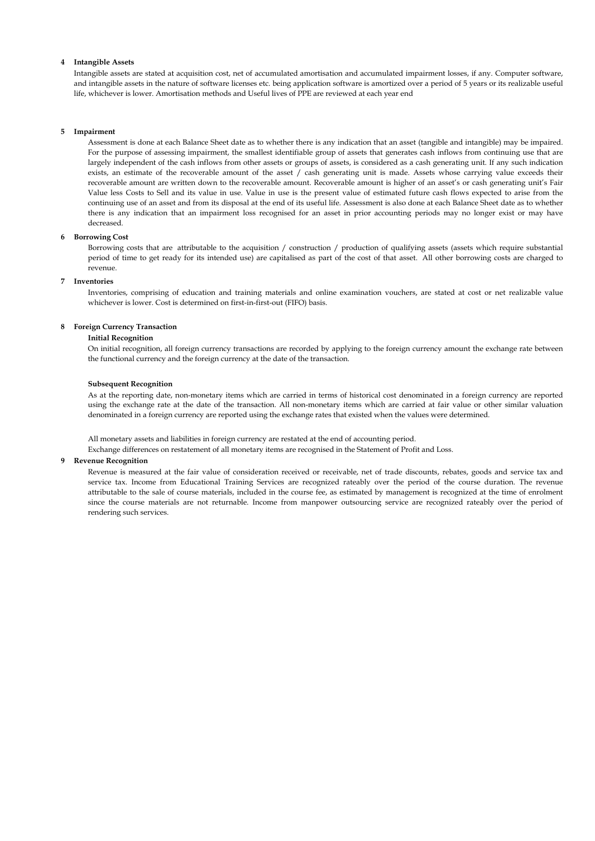### **4 Intangible Assets**

Intangible assets are stated at acquisition cost, net of accumulated amortisation and accumulated impairment losses, if any. Computer software, and intangible assets in the nature of software licenses etc. being application software is amortized over a period of 5 years or its realizable useful life, whichever is lower. Amortisation methods and Useful lives of PPE are reviewed at each year end

#### **5 Impairment**

Assessment is done at each Balance Sheet date as to whether there is any indication that an asset (tangible and intangible) may be impaired. For the purpose of assessing impairment, the smallest identifiable group of assets that generates cash inflows from continuing use that are largely independent of the cash inflows from other assets or groups of assets, is considered as a cash generating unit. If any such indication exists, an estimate of the recoverable amount of the asset / cash generating unit is made. Assets whose carrying value exceeds their recoverable amount are written down to the recoverable amount. Recoverable amount is higher of an asset's or cash generating unit's Fair Value less Costs to Sell and its value in use. Value in use is the present value of estimated future cash flows expected to arise from the continuing use of an asset and from its disposal at the end of its useful life. Assessment is also done at each Balance Sheet date as to whether there is any indication that an impairment loss recognised for an asset in prior accounting periods may no longer exist or may have decreased.

#### **6 Borrowing Cost**

Borrowing costs that are attributable to the acquisition / construction / production of qualifying assets (assets which require substantial period of time to get ready for its intended use) are capitalised as part of the cost of that asset. All other borrowing costs are charged to revenue.

#### **7 Inventories**

Inventories, comprising of education and training materials and online examination vouchers, are stated at cost or net realizable value whichever is lower. Cost is determined on first-in-first-out (FIFO) basis.

#### **8 Foreign Currency Transaction**

#### **Initial Recognition**

On initial recognition, all foreign currency transactions are recorded by applying to the foreign currency amount the exchange rate between the functional currency and the foreign currency at the date of the transaction.

#### **Subsequent Recognition**

As at the reporting date, non-monetary items which are carried in terms of historical cost denominated in a foreign currency are reported using the exchange rate at the date of the transaction. All non-monetary items which are carried at fair value or other similar valuation denominated in a foreign currency are reported using the exchange rates that existed when the values were determined.

All monetary assets and liabilities in foreign currency are restated at the end of accounting period.

Exchange differences on restatement of all monetary items are recognised in the Statement of Profit and Loss.

#### **9 Revenue Recognition**

Revenue is measured at the fair value of consideration received or receivable, net of trade discounts, rebates, goods and service tax and service tax. Income from Educational Training Services are recognized rateably over the period of the course duration. The revenue attributable to the sale of course materials, included in the course fee, as estimated by management is recognized at the time of enrolment since the course materials are not returnable. Income from manpower outsourcing service are recognized rateably over the period of rendering such services.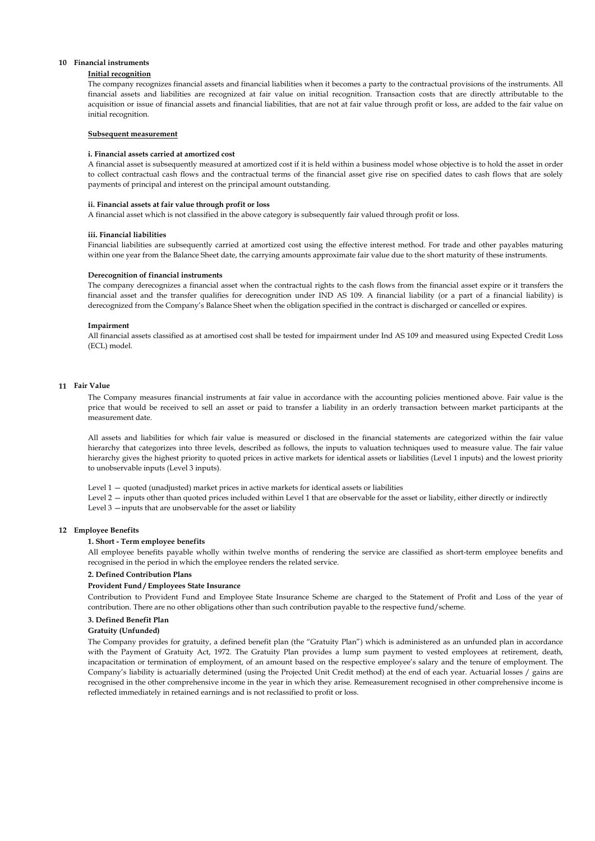### **10 Financial instruments**

### **Initial recognition**

The company recognizes financial assets and financial liabilities when it becomes a party to the contractual provisions of the instruments. All financial assets and liabilities are recognized at fair value on initial recognition. Transaction costs that are directly attributable to the acquisition or issue of financial assets and financial liabilities, that are not at fair value through profit or loss, are added to the fair value on initial recognition.

#### **Subsequent measurement**

#### **i. Financial assets carried at amortized cost**

A financial asset is subsequently measured at amortized cost if it is held within a business model whose objective is to hold the asset in order to collect contractual cash flows and the contractual terms of the financial asset give rise on specified dates to cash flows that are solely payments of principal and interest on the principal amount outstanding.

#### **ii. Financial assets at fair value through profit or loss**

A financial asset which is not classified in the above category is subsequently fair valued through profit or loss.

#### **iii. Financial liabilities**

Financial liabilities are subsequently carried at amortized cost using the effective interest method. For trade and other payables maturing within one year from the Balance Sheet date, the carrying amounts approximate fair value due to the short maturity of these instruments.

#### **Derecognition of financial instruments**

The company derecognizes a financial asset when the contractual rights to the cash flows from the financial asset expire or it transfers the financial asset and the transfer qualifies for derecognition under IND AS 109. A financial liability (or a part of a financial liability) is derecognized from the Company's Balance Sheet when the obligation specified in the contract is discharged or cancelled or expires.

#### **Impairment**

All financial assets classified as at amortised cost shall be tested for impairment under Ind AS 109 and measured using Expected Credit Loss (ECL) model.

#### **11 Fair Value**

The Company measures financial instruments at fair value in accordance with the accounting policies mentioned above. Fair value is the price that would be received to sell an asset or paid to transfer a liability in an orderly transaction between market participants at the measurement date.

All assets and liabilities for which fair value is measured or disclosed in the financial statements are categorized within the fair value hierarchy that categorizes into three levels, described as follows, the inputs to valuation techniques used to measure value. The fair value hierarchy gives the highest priority to quoted prices in active markets for identical assets or liabilities (Level 1 inputs) and the lowest priority to unobservable inputs (Level 3 inputs).

Level 1 — quoted (unadjusted) market prices in active markets for identical assets or liabilities

Level 2 — inputs other than quoted prices included within Level 1 that are observable for the asset or liability, either directly or indirectly Level 3 —inputs that are unobservable for the asset or liability

#### **12 Employee Benefits**

#### **1. Short - Term employee benefits**

All employee benefits payable wholly within twelve months of rendering the service are classified as short-term employee benefits and recognised in the period in which the employee renders the related service.

#### **2. Defined Contribution Plans**

#### **Provident Fund / Employees State Insurance**

Contribution to Provident Fund and Employee State Insurance Scheme are charged to the Statement of Profit and Loss of the year of contribution. There are no other obligations other than such contribution payable to the respective fund/scheme.

#### **3. Defined Benefit Plan**

#### **Gratuity (Unfunded)**

The Company provides for gratuity, a defined benefit plan (the "Gratuity Plan") which is administered as an unfunded plan in accordance with the Payment of Gratuity Act, 1972. The Gratuity Plan provides a lump sum payment to vested employees at retirement, death, incapacitation or termination of employment, of an amount based on the respective employee's salary and the tenure of employment. The Company's liability is actuarially determined (using the Projected Unit Credit method) at the end of each year. Actuarial losses / gains are recognised in the other comprehensive income in the year in which they arise. Remeasurement recognised in other comprehensive income is reflected immediately in retained earnings and is not reclassified to profit or loss.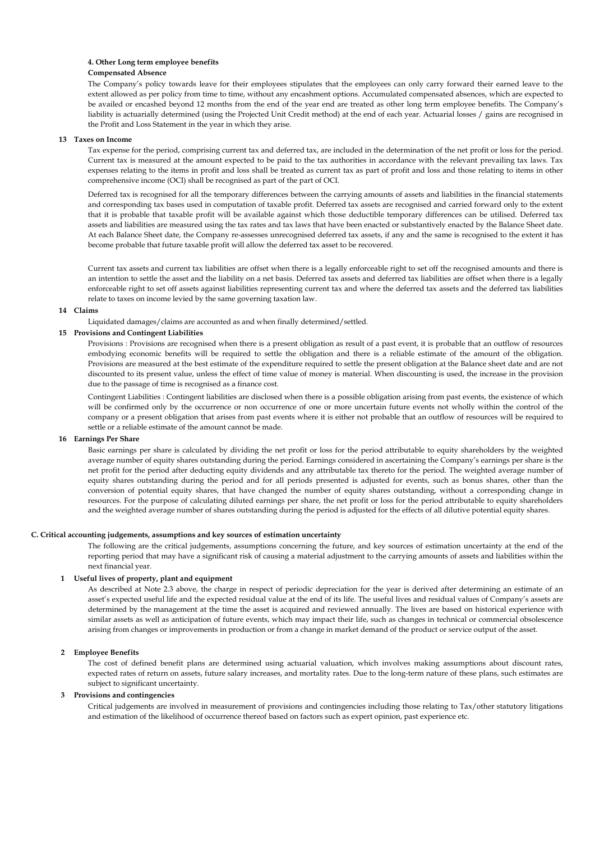# **4. Other Long term employee benefits**

**Compensated Absence**

The Company's policy towards leave for their employees stipulates that the employees can only carry forward their earned leave to the extent allowed as per policy from time to time, without any encashment options. Accumulated compensated absences, which are expected to be availed or encashed beyond 12 months from the end of the year end are treated as other long term employee benefits. The Company's liability is actuarially determined (using the Projected Unit Credit method) at the end of each year. Actuarial losses / gains are recognised in the Profit and Loss Statement in the year in which they arise.

#### **13 Taxes on Income**

Tax expense for the period, comprising current tax and deferred tax, are included in the determination of the net profit or loss for the period. Current tax is measured at the amount expected to be paid to the tax authorities in accordance with the relevant prevailing tax laws. Tax expenses relating to the items in profit and loss shall be treated as current tax as part of profit and loss and those relating to items in other comprehensive income (OCI) shall be recognised as part of the part of OCI.

Deferred tax is recognised for all the temporary differences between the carrying amounts of assets and liabilities in the financial statements and corresponding tax bases used in computation of taxable profit. Deferred tax assets are recognised and carried forward only to the extent that it is probable that taxable profit will be available against which those deductible temporary differences can be utilised. Deferred tax assets and liabilities are measured using the tax rates and tax laws that have been enacted or substantively enacted by the Balance Sheet date. At each Balance Sheet date, the Company re-assesses unrecognised deferred tax assets, if any and the same is recognised to the extent it has become probable that future taxable profit will allow the deferred tax asset to be recovered.

Current tax assets and current tax liabilities are offset when there is a legally enforceable right to set off the recognised amounts and there is an intention to settle the asset and the liability on a net basis. Deferred tax assets and deferred tax liabilities are offset when there is a legally enforceable right to set off assets against liabilities representing current tax and where the deferred tax assets and the deferred tax liabilities relate to taxes on income levied by the same governing taxation law.

#### **14 Claims**

Liquidated damages/claims are accounted as and when finally determined/settled.

#### **15 Provisions and Contingent Liabilities**

Provisions : Provisions are recognised when there is a present obligation as result of a past event, it is probable that an outflow of resources embodying economic benefits will be required to settle the obligation and there is a reliable estimate of the amount of the obligation. Provisions are measured at the best estimate of the expenditure required to settle the present obligation at the Balance sheet date and are not discounted to its present value, unless the effect of time value of money is material. When discounting is used, the increase in the provision due to the passage of time is recognised as a finance cost.

Contingent Liabilities : Contingent liabilities are disclosed when there is a possible obligation arising from past events, the existence of which will be confirmed only by the occurrence or non occurrence of one or more uncertain future events not wholly within the control of the company or a present obligation that arises from past events where it is either not probable that an outflow of resources will be required to settle or a reliable estimate of the amount cannot be made.

#### **16 Earnings Per Share**

Basic earnings per share is calculated by dividing the net profit or loss for the period attributable to equity shareholders by the weighted average number of equity shares outstanding during the period. Earnings considered in ascertaining the Company's earnings per share is the net profit for the period after deducting equity dividends and any attributable tax thereto for the period. The weighted average number of equity shares outstanding during the period and for all periods presented is adjusted for events, such as bonus shares, other than the conversion of potential equity shares, that have changed the number of equity shares outstanding, without a corresponding change in resources. For the purpose of calculating diluted earnings per share, the net profit or loss for the period attributable to equity shareholders and the weighted average number of shares outstanding during the period is adjusted for the effects of all dilutive potential equity shares.

#### **C. Critical accounting judgements, assumptions and key sources of estimation uncertainty**

The following are the critical judgements, assumptions concerning the future, and key sources of estimation uncertainty at the end of the reporting period that may have a significant risk of causing a material adjustment to the carrying amounts of assets and liabilities within the next financial year.

#### **1 Useful lives of property, plant and equipment**

As described at Note 2.3 above, the charge in respect of periodic depreciation for the year is derived after determining an estimate of an asset's expected useful life and the expected residual value at the end of its life. The useful lives and residual values of Company's assets are determined by the management at the time the asset is acquired and reviewed annually. The lives are based on historical experience with similar assets as well as anticipation of future events, which may impact their life, such as changes in technical or commercial obsolescence arising from changes or improvements in production or from a change in market demand of the product or service output of the asset.

#### **2 Employee Benefits**

The cost of defined benefit plans are determined using actuarial valuation, which involves making assumptions about discount rates, expected rates of return on assets, future salary increases, and mortality rates. Due to the long-term nature of these plans, such estimates are subject to significant uncertainty.

#### **3 Provisions and contingencies**

Critical judgements are involved in measurement of provisions and contingencies including those relating to Tax/other statutory litigations and estimation of the likelihood of occurrence thereof based on factors such as expert opinion, past experience etc.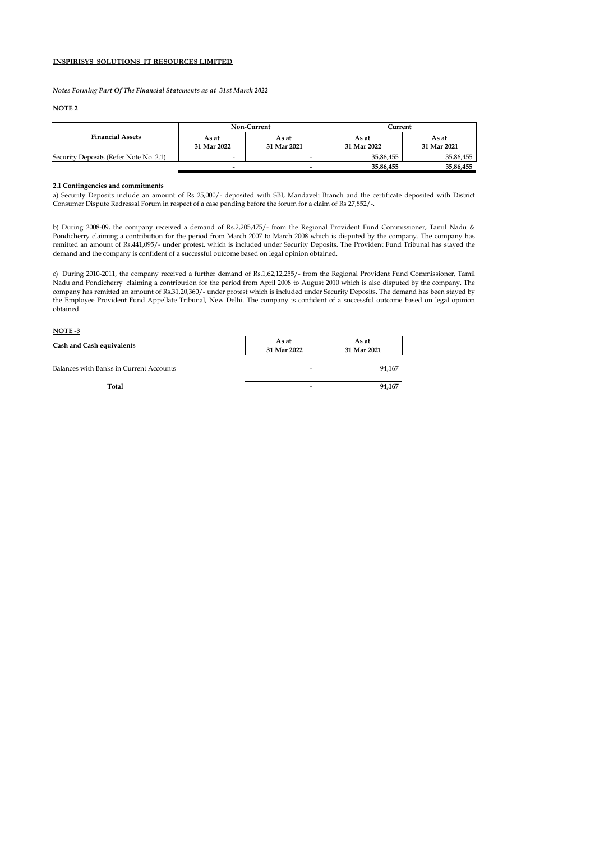#### *Notes Forming Part Of The Financial Statements as at 31st March 2022*

#### **NOTE 2**

|                                        |                      | Non-Current          | Current              |                      |  |
|----------------------------------------|----------------------|----------------------|----------------------|----------------------|--|
| <b>Financial Assets</b>                | As at<br>31 Mar 2022 | As at<br>31 Mar 2021 | As at<br>31 Mar 2022 | As at<br>31 Mar 2021 |  |
| Security Deposits (Refer Note No. 2.1) | -                    | -                    | 35,86,455            | 35,86,455            |  |
|                                        |                      |                      | 35,86,455            | 35,86,455            |  |

#### **2.1 Contingencies and commitments**

a) Security Deposits include an amount of Rs 25,000/- deposited with SBI, Mandaveli Branch and the certificate deposited with District Consumer Dispute Redressal Forum in respect of a case pending before the forum for a claim of Rs 27,852/-.

b) During 2008-09, the company received a demand of Rs.2,205,475/- from the Regional Provident Fund Commissioner, Tamil Nadu & Pondicherry claiming a contribution for the period from March 2007 to March 2008 which is disputed by the company. The company has remitted an amount of Rs.441,095/- under protest, which is included under Security Deposits. The Provident Fund Tribunal has stayed the demand and the company is confident of a successful outcome based on legal opinion obtained.

c) During 2010-2011, the company received a further demand of Rs.1,62,12,255/- from the Regional Provident Fund Commissioner, Tamil Nadu and Pondicherry claiming a contribution for the period from April 2008 to August 2010 which is also disputed by the company. The company has remitted an amount of Rs.31,20,360/- under protest which is included under Security Deposits. The demand has been stayed by the Employee Provident Fund Appellate Tribunal, New Delhi. The company is confident of a successful outcome based on legal opinion obtained.

#### **NOTE -3**

| Cash and Cash equivalents               | As at<br>31 Mar 2022 | As at<br>31 Mar 2021 |
|-----------------------------------------|----------------------|----------------------|
| Balances with Banks in Current Accounts | -                    | 94.167               |
| Total                                   | -                    | 94,167               |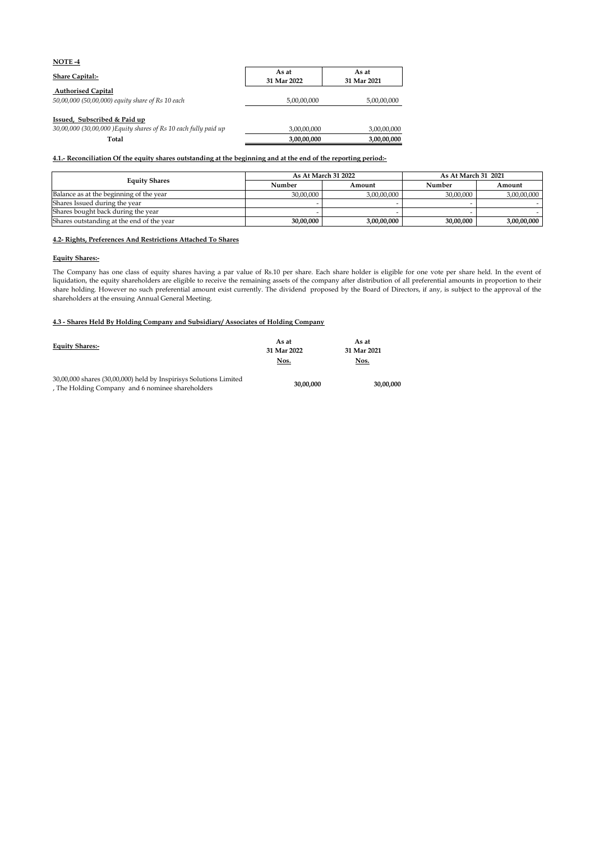# **NOTE -4**

| <b>Share Capital:-</b>                                            | As at<br>31 Mar 2022 | As at<br>31 Mar 2021 |
|-------------------------------------------------------------------|----------------------|----------------------|
| <b>Authorised Capital</b>                                         |                      |                      |
| 50,00,000 (50,00,000) equity share of Rs 10 each                  | 5,00,00,000          | 5,00,00,000          |
|                                                                   |                      |                      |
| Issued, Subscribed & Paid up                                      |                      |                      |
| $30,00,000$ (30,00,000) Equity shares of Rs 10 each fully paid up | 3,00,00,000          | 3,00,00,000          |
| Total                                                             | 3,00,00,000          | 3,00,00,000          |

**4.1.- Reconciliation Of the equity shares outstanding at the beginning and at the end of the reporting period:-**

| <b>Equity Shares</b>                      |           | As At March 31 2022 | As At March 31 2021 |             |  |
|-------------------------------------------|-----------|---------------------|---------------------|-------------|--|
|                                           | Number    | Amount              | Number              | Amount      |  |
| Balance as at the beginning of the year   | 30.00.000 | 3.00.00.000         | 30.00.000           | 3,00,00,000 |  |
| Shares Issued during the year             |           |                     |                     |             |  |
| Shares bought back during the year        |           |                     |                     |             |  |
| Shares outstanding at the end of the year | 30,00,000 | 3,00,00,000         | 30,00,000           | 3,00,00,000 |  |

#### **4.2- Rights, Preferences And Restrictions Attached To Shares**

#### **Equity Shares:-**

The Company has one class of equity shares having a par value of Rs.10 per share. Each share holder is eligible for one vote per share held. In the event of liquidation, the equity shareholders are eligible to receive the remaining assets of the company after distribution of all preferential amounts in proportion to their share holding. However no such preferential amount exist currently. The dividend proposed by the Board of Directors, if any, is subject to the approval of the shareholders at the ensuing Annual General Meeting.

#### **4.3 - Shares Held By Holding Company and Subsidiary/ Associates of Holding Company**

| <b>Equity Shares:-</b>                                                                                                | As at<br>31 Mar 2022<br>Nos. | As at<br>31 Mar 2021<br>Nos. |
|-----------------------------------------------------------------------------------------------------------------------|------------------------------|------------------------------|
| 30,00,000 shares (30,00,000) held by Inspirisys Solutions Limited<br>, The Holding Company and 6 nominee shareholders | 30,00,000                    | 30,00,000                    |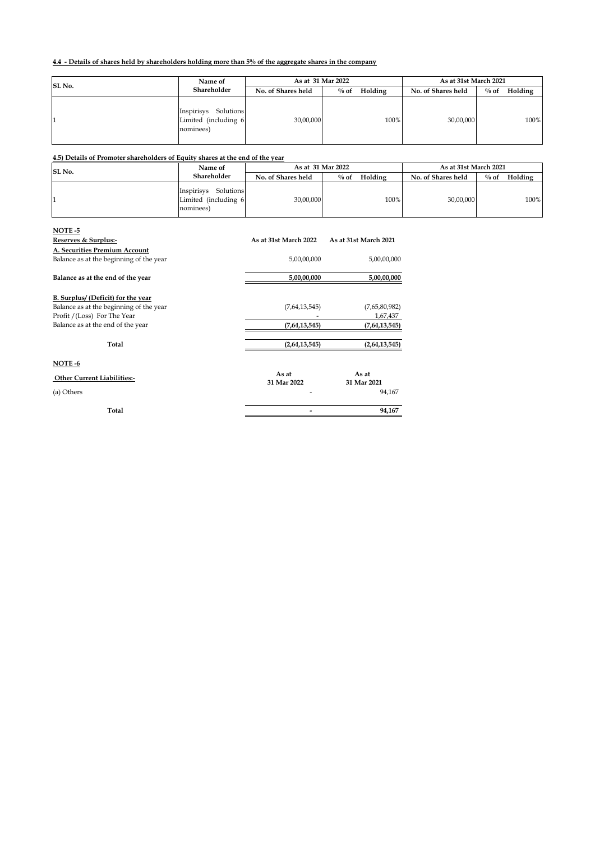## **4.4 - Details of shares held by shareholders holding more than 5% of the aggregate shares in the company**

| SL No. | As at 31 Mar 2022<br>Name of<br>Shareholder<br>No. of Shares held<br>$\%$ of |           |         | As at 31st March 2021 |                    |
|--------|------------------------------------------------------------------------------|-----------|---------|-----------------------|--------------------|
|        |                                                                              |           | Holding | No. of Shares held    | Holding<br>$\%$ of |
|        | Solutions<br>Inspirisys<br>Limited (including 6<br>nominees)                 | 30,00,000 | 100%    | 30,00,000             | 100%               |

# **4.5) Details of Promoter shareholders of Equity shares at the end of the year**

| <b>SL No.</b> | Name of                                                      | As at 31 Mar 2022  |         | As at 31st March 2021 |                    |         |         |
|---------------|--------------------------------------------------------------|--------------------|---------|-----------------------|--------------------|---------|---------|
|               | Shareholder                                                  | No. of Shares held | $\%$ of | Holding               | No. of Shares held | $\%$ of | Holding |
|               | Solutions<br>Inspirisys<br>Limited (including 6<br>nominees) | 30,00,000          |         | 100%                  | 30,00,000          |         | 100%    |

| NOTE-5                                  |                       |                       |
|-----------------------------------------|-----------------------|-----------------------|
| Reserves & Surplus:-                    | As at 31st March 2022 | As at 31st March 2021 |
| A. Securities Premium Account           |                       |                       |
| Balance as at the beginning of the year | 5,00,00,000           | 5,00,00,000           |
| Balance as at the end of the year       | 5,00,00,000           | 5,00,00,000           |
| B. Surplus/ (Deficit) for the year      |                       |                       |
| Balance as at the beginning of the year | (7,64,13,545)         | (7,65,80,982)         |
| Profit / (Loss) For The Year            |                       | 1,67,437              |
| Balance as at the end of the year       | (7,64,13,545)         | (7,64,13,545)         |
| Total                                   | (2,64,13,545)         | (2,64,13,545)         |
| NOTE-6                                  |                       |                       |
| Other Current Liabilities:-             | As at                 | As at                 |
|                                         | 31 Mar 2022           | 31 Mar 2021           |
| (a) Others                              |                       | 94,167                |
| Total                                   |                       | 94,167                |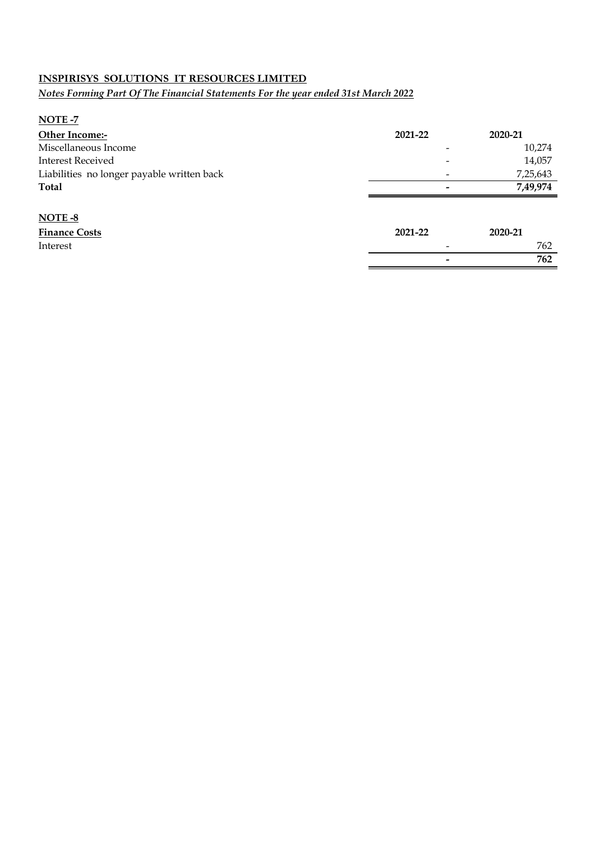# *Notes Forming Part Of The Financial Statements For the year ended 31st March 2022*

| NOTE-7                                     |         |          |
|--------------------------------------------|---------|----------|
| Other Income:-                             | 2021-22 | 2020-21  |
| Miscellaneous Income                       |         | 10,274   |
| Interest Received                          |         | 14,057   |
| Liabilities no longer payable written back |         | 7,25,643 |
| <b>Total</b>                               |         | 7,49,974 |
|                                            |         |          |
| NOTE-8                                     |         |          |

| <b>Finance Costs</b> | 2021-22 |   | 2020-21 |
|----------------------|---------|---|---------|
| Interest             |         | - | 762     |
|                      |         | - | 762     |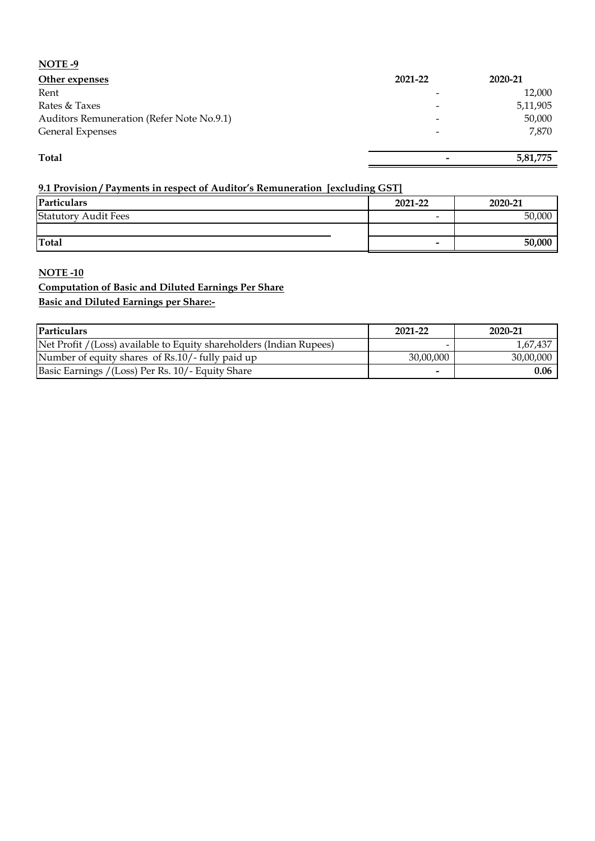| $NOTE -9$                                 |                          |          |
|-------------------------------------------|--------------------------|----------|
| Other expenses                            | 2021-22                  | 2020-21  |
| Rent                                      |                          | 12,000   |
| Rates & Taxes                             | $\overline{\phantom{0}}$ | 5,11,905 |
| Auditors Remuneration (Refer Note No.9.1) | $\,$                     | 50,000   |
| General Expenses                          | $\overline{\phantom{a}}$ | 7,870    |
| <b>Total</b>                              |                          | 5,81,775 |

# **9.1 Provision / Payments in respect of Auditor's Remuneration [excluding GST]**

| Particulars                 | 2021-22                  | 2020-21 |
|-----------------------------|--------------------------|---------|
| <b>Statutory Audit Fees</b> | $\overline{\phantom{a}}$ | 50,000  |
|                             |                          |         |
| <b>Total</b>                | $\tilde{\phantom{a}}$    | 50,000  |

# **NOTE -10**

**Computation of Basic and Diluted Earnings Per Share Basic and Diluted Earnings per Share:-**

| Particulars                                                          | 2021-22   | 2020-21   |
|----------------------------------------------------------------------|-----------|-----------|
| Net Profit / (Loss) available to Equity shareholders (Indian Rupees) |           | 1.67.437  |
| Number of equity shares of Rs.10/-fully paid up                      | 30,00,000 | 30,00,000 |
| Basic Earnings / (Loss) Per Rs. 10/- Equity Share                    | -         | 0.06      |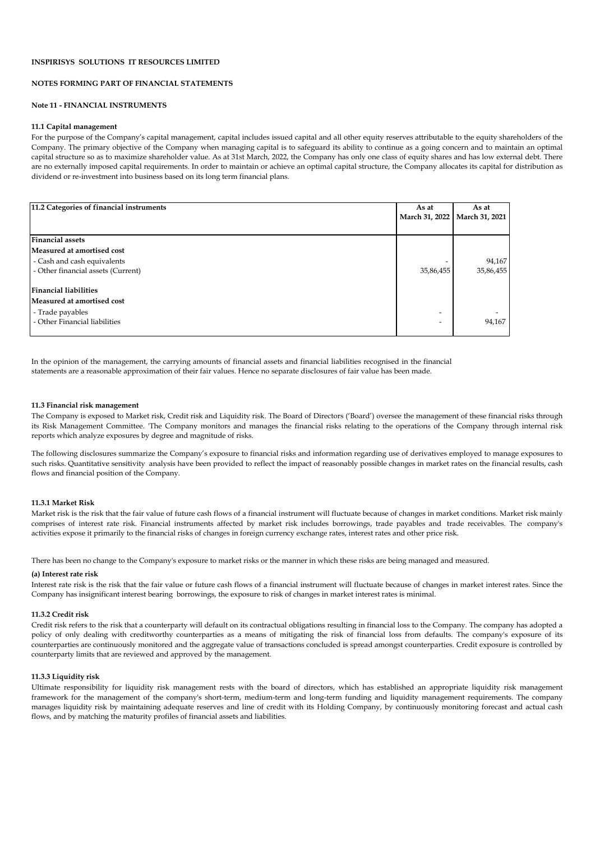#### **NOTES FORMING PART OF FINANCIAL STATEMENTS**

### **Note 11 - FINANCIAL INSTRUMENTS**

#### **11.1 Capital management**

For the purpose of the Company's capital management, capital includes issued capital and all other equity reserves attributable to the equity shareholders of the Company. The primary objective of the Company when managing capital is to safeguard its ability to continue as a going concern and to maintain an optimal capital structure so as to maximize shareholder value. As at 31st March, 2022, the Company has only one class of equity shares and has low external debt. There are no externally imposed capital requirements. In order to maintain or achieve an optimal capital structure, the Company allocates its capital for distribution as dividend or re-investment into business based on its long term financial plans.

| 11.2 Categories of financial instruments | As at<br>March 31, 2022 | As at<br>March 31, 2021 |
|------------------------------------------|-------------------------|-------------------------|
| <b>Financial assets</b>                  |                         |                         |
| Measured at amortised cost               |                         |                         |
| - Cash and cash equivalents              |                         | 94,167                  |
| - Other financial assets (Current)       | 35,86,455               | 35,86,455               |
| <b>Financial liabilities</b>             |                         |                         |
| Measured at amortised cost               |                         |                         |
| - Trade payables                         |                         |                         |
| - Other Financial liabilities            |                         | 94,167                  |

In the opinion of the management, the carrying amounts of financial assets and financial liabilities recognised in the financial statements are a reasonable approximation of their fair values. Hence no separate disclosures of fair value has been made.

#### **11.3 Financial risk management**

The Company is exposed to Market risk, Credit risk and Liquidity risk. The Board of Directors ('Board') oversee the management of these financial risks through its Risk Management Committee. 'The Company monitors and manages the financial risks relating to the operations of the Company through internal risk reports which analyze exposures by degree and magnitude of risks.

The following disclosures summarize the Company's exposure to financial risks and information regarding use of derivatives employed to manage exposures to such risks. Quantitative sensitivity analysis have been provided to reflect the impact of reasonably possible changes in market rates on the financial results, cash flows and financial position of the Company.

#### **11.3.1 Market Risk**

Market risk is the risk that the fair value of future cash flows of a financial instrument will fluctuate because of changes in market conditions. Market risk mainly comprises of interest rate risk. Financial instruments affected by market risk includes borrowings, trade payables and trade receivables. The company's activities expose it primarily to the financial risks of changes in foreign currency exchange rates, interest rates and other price risk.

There has been no change to the Company's exposure to market risks or the manner in which these risks are being managed and measured.

#### **(a) Interest rate risk**

Interest rate risk is the risk that the fair value or future cash flows of a financial instrument will fluctuate because of changes in market interest rates. Since the Company has insignificant interest bearing borrowings, the exposure to risk of changes in market interest rates is minimal.

#### **11.3.2 Credit risk**

Credit risk refers to the risk that a counterparty will default on its contractual obligations resulting in financial loss to the Company. The company has adopted a policy of only dealing with creditworthy counterparties as a means of mitigating the risk of financial loss from defaults. The company's exposure of its counterparties are continuously monitored and the aggregate value of transactions concluded is spread amongst counterparties. Credit exposure is controlled by counterparty limits that are reviewed and approved by the management.

#### **11.3.3 Liquidity risk**

Ultimate responsibility for liquidity risk management rests with the board of directors, which has established an appropriate liquidity risk management framework for the management of the company's short-term, medium-term and long-term funding and liquidity management requirements. The company manages liquidity risk by maintaining adequate reserves and line of credit with its Holding Company, by continuously monitoring forecast and actual cash flows, and by matching the maturity profiles of financial assets and liabilities.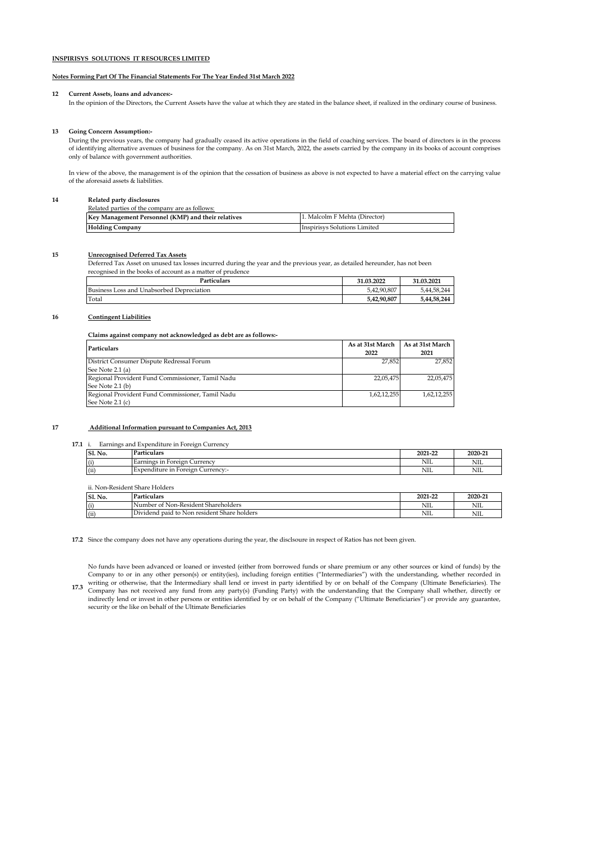#### **Notes Forming Part Of The Financial Statements For The Year Ended 31st March 2022**

#### **12 Current Assets, loans and advances:-**

In the opinion of the Directors, the Current Assets have the value at which they are stated in the balance sheet, if realized in the ordinary course of business.

#### **13 Going Concern Assumption:-**

During the previous years, the company had gradually ceased its active operations in the field of coaching services. The board of directors is in the process of identifying alternative avenues of business for the company. As on 31st March, 2022, the assets carried by the company in its books of account comprises only of balance with government authorities.

In view of the above, the management is of the opinion that the cessation of business as above is not expected to have a material effect on the carrying value of the aforesaid assets & liabilities.

#### **14 Related party disclosures**

| Related parties of the company are as follows:     |                                     |  |
|----------------------------------------------------|-------------------------------------|--|
| Key Management Personnel (KMP) and their relatives | 1. Malcolm F Mehta (Director)       |  |
| <b>Holding Company</b>                             | <b>Inspirisys Solutions Limited</b> |  |

#### **15 Unrecognised Deferred Tax Assets**

Deferred Tax Asset on unused tax losses incurred during the year and the previous year, as detailed hereunder, has not been recognised in the books of account as a matter of prudence

| <b>Particulars</b>                                  | 31.03.2022  | 31.03.2021  |
|-----------------------------------------------------|-------------|-------------|
| <b>Business</b><br>Loss and Unabsorbed Depreciation | 5,42,90,807 | 5,44,58,244 |
| Total                                               | 5.42.90.807 | 5.44.58.244 |

#### **16 Contingent Liabilities**

**Claims against company not acknowledged as debt are as follows:-**

| <b>Particulars</b>                               | As at 31st March<br>2022 | As at 31st March<br>2021 |
|--------------------------------------------------|--------------------------|--------------------------|
| District Consumer Dispute Redressal Forum        | 27.852                   | 27,852                   |
| See Note 2.1 (a)                                 |                          |                          |
| Regional Provident Fund Commissioner, Tamil Nadu | 22,05,475                | 22,05,475                |
| See Note 2.1 (b)                                 |                          |                          |
| Regional Provident Fund Commissioner, Tamil Nadu | 1.62.12.255              | 1,62,12,255              |
| See Note $2.1(c)$                                |                          |                          |

#### **17 Additional Information pursuant to Companies Act, 2013**

#### **17.1** i. Earnings and Expenditure in Foreign Currency

| <b>Sl. No.</b> | $\sim$ $\sim$<br>Particulars             | 2021-22<br>$\sim$ | 2020-21 |
|----------------|------------------------------------------|-------------------|---------|
| (i)            | Currency<br>Foreign<br>. Earnings in     | NIL               | NIL     |
| (ii)           | Foreign<br>TExpenditure in<br>Currency:- | NIL               | NIL     |

| ii. Non-Resident Share Holders |                                             |            |         |  |
|--------------------------------|---------------------------------------------|------------|---------|--|
| <b>Sl. No.</b>                 | <b>Particulars</b>                          | 2021-22    | 2020-21 |  |
| (i)                            | Number of Non-Resident Shareholders         | <b>NIL</b> | NIL     |  |
| (ii)                           | Dividend paid to Non resident Share holders | <b>NIL</b> | NIL     |  |

**17.2** Since the company does not have any operations during the year, the disclsoure in respect of Ratios has not been given.

writing or otherwise, that the Intermediary shall lend or invest in party identified by or on behalf of the Company (Ultimate Beneficiaries). The<br>17.3 Company has not reseived any fund from any party(s) (Funding Barty) wit No funds have been advanced or loaned or invested (either from borrowed funds or share premium or any other sources or kind of funds) by the Company to or in any other person(s) or entity(ies), including foreign entities ("Intermediaries") with the understanding, whether recorded in

Company has not received any fund from any party(s) (Funding Party) with the understanding that the Company shall whether, directly or indirectly lend or invest in other persons or entities identified by or on behalf of the Company ("Ultimate Beneficiaries") or provide any guarantee, security or the like on behalf of the Ultimate Beneficiaries